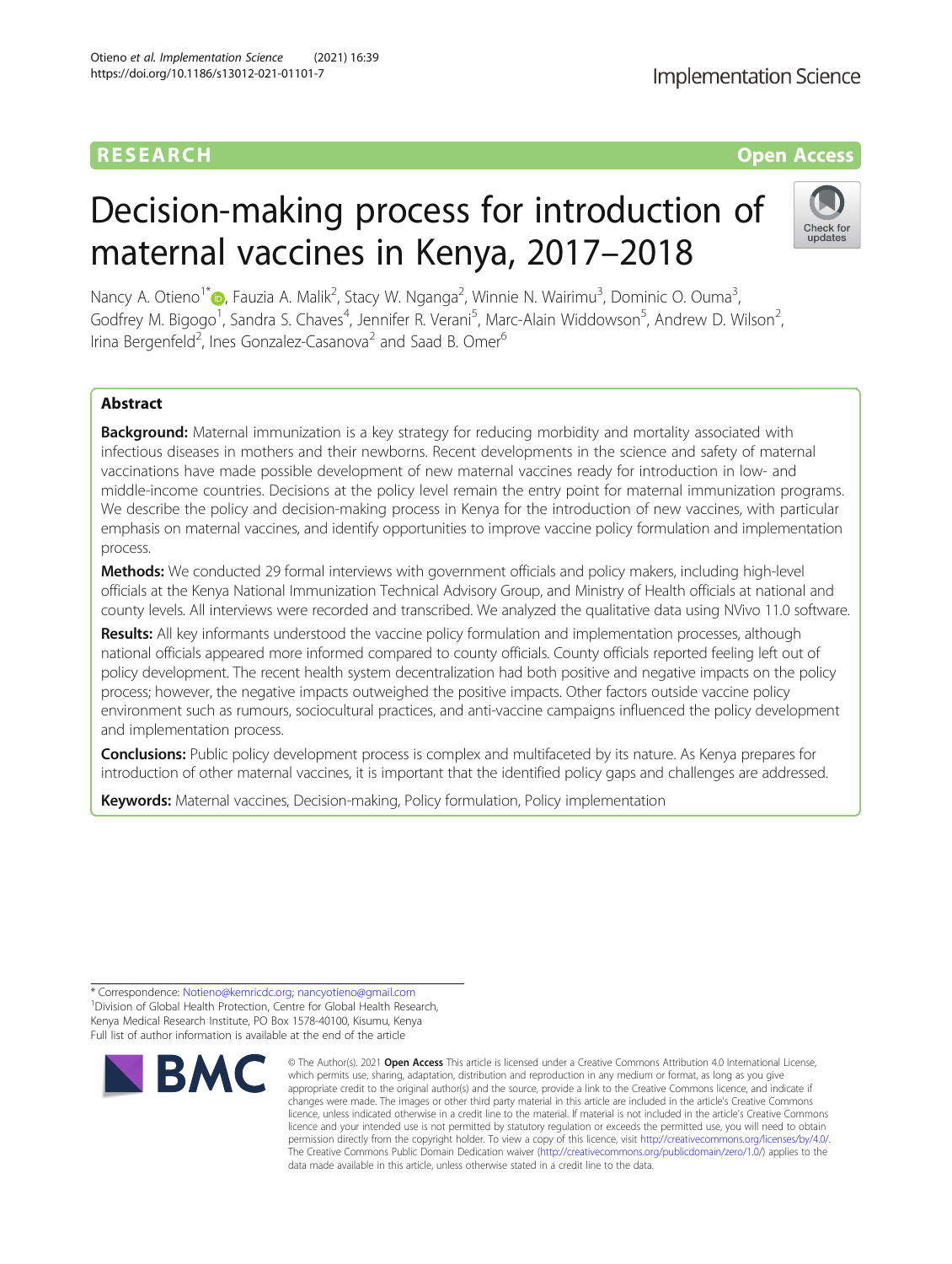# RESEARCH **RESEARCH CONSUMING THE CONSUMING THE CONSUMING THE CONSUMING TEAM Open Access**

# Decision-making process for introduction of maternal vaccines in Kenya, 2017–2018

Nancy A. Otieno<sup>1\*</sup>®[,](http://orcid.org/0000-0002-7083-4735) Fauzia A. Malik<sup>2</sup>, Stacy W. Nganga<sup>2</sup>, Winnie N. Wairimu<sup>3</sup>, Dominic O. Ouma<sup>3</sup> , Godfrey M. Bigogo<sup>1</sup>, Sandra S. Chaves<sup>4</sup>, Jennifer R. Verani<sup>5</sup>, Marc-Alain Widdowson<sup>5</sup>, Andrew D. Wilson<sup>2</sup> , Irina Bergenfeld<sup>2</sup>, Ines Gonzalez-Casanova<sup>2</sup> and Saad B. Omer<sup>6</sup>

# Abstract

**Background:** Maternal immunization is a key strategy for reducing morbidity and mortality associated with infectious diseases in mothers and their newborns. Recent developments in the science and safety of maternal vaccinations have made possible development of new maternal vaccines ready for introduction in low- and middle-income countries. Decisions at the policy level remain the entry point for maternal immunization programs. We describe the policy and decision-making process in Kenya for the introduction of new vaccines, with particular emphasis on maternal vaccines, and identify opportunities to improve vaccine policy formulation and implementation process.

Methods: We conducted 29 formal interviews with government officials and policy makers, including high-level officials at the Kenya National Immunization Technical Advisory Group, and Ministry of Health officials at national and county levels. All interviews were recorded and transcribed. We analyzed the qualitative data using NVivo 11.0 software.

Results: All key informants understood the vaccine policy formulation and implementation processes, although national officials appeared more informed compared to county officials. County officials reported feeling left out of policy development. The recent health system decentralization had both positive and negative impacts on the policy process; however, the negative impacts outweighed the positive impacts. Other factors outside vaccine policy environment such as rumours, sociocultural practices, and anti-vaccine campaigns influenced the policy development and implementation process.

**Conclusions:** Public policy development process is complex and multifaceted by its nature. As Kenya prepares for introduction of other maternal vaccines, it is important that the identified policy gaps and challenges are addressed.

Keywords: Maternal vaccines, Decision-making, Policy formulation, Policy implementation

\* Correspondence: [Notieno@kemricdc.org;](mailto:Notieno@kemricdc.org) [nancyotieno@gmail.com](mailto:nancyotieno@gmail.com) <sup>1</sup> <sup>1</sup> Division of Global Health Protection, Centre for Global Health Research, Kenya Medical Research Institute, PO Box 1578-40100, Kisumu, Kenya Full list of author information is available at the end of the article



<sup>©</sup> The Author(s), 2021 **Open Access** This article is licensed under a Creative Commons Attribution 4.0 International License, which permits use, sharing, adaptation, distribution and reproduction in any medium or format, as long as you give appropriate credit to the original author(s) and the source, provide a link to the Creative Commons licence, and indicate if changes were made. The images or other third party material in this article are included in the article's Creative Commons licence, unless indicated otherwise in a credit line to the material. If material is not included in the article's Creative Commons licence and your intended use is not permitted by statutory regulation or exceeds the permitted use, you will need to obtain permission directly from the copyright holder. To view a copy of this licence, visit [http://creativecommons.org/licenses/by/4.0/.](http://creativecommons.org/licenses/by/4.0/) The Creative Commons Public Domain Dedication waiver [\(http://creativecommons.org/publicdomain/zero/1.0/](http://creativecommons.org/publicdomain/zero/1.0/)) applies to the data made available in this article, unless otherwise stated in a credit line to the data.

**Implementation Science** 

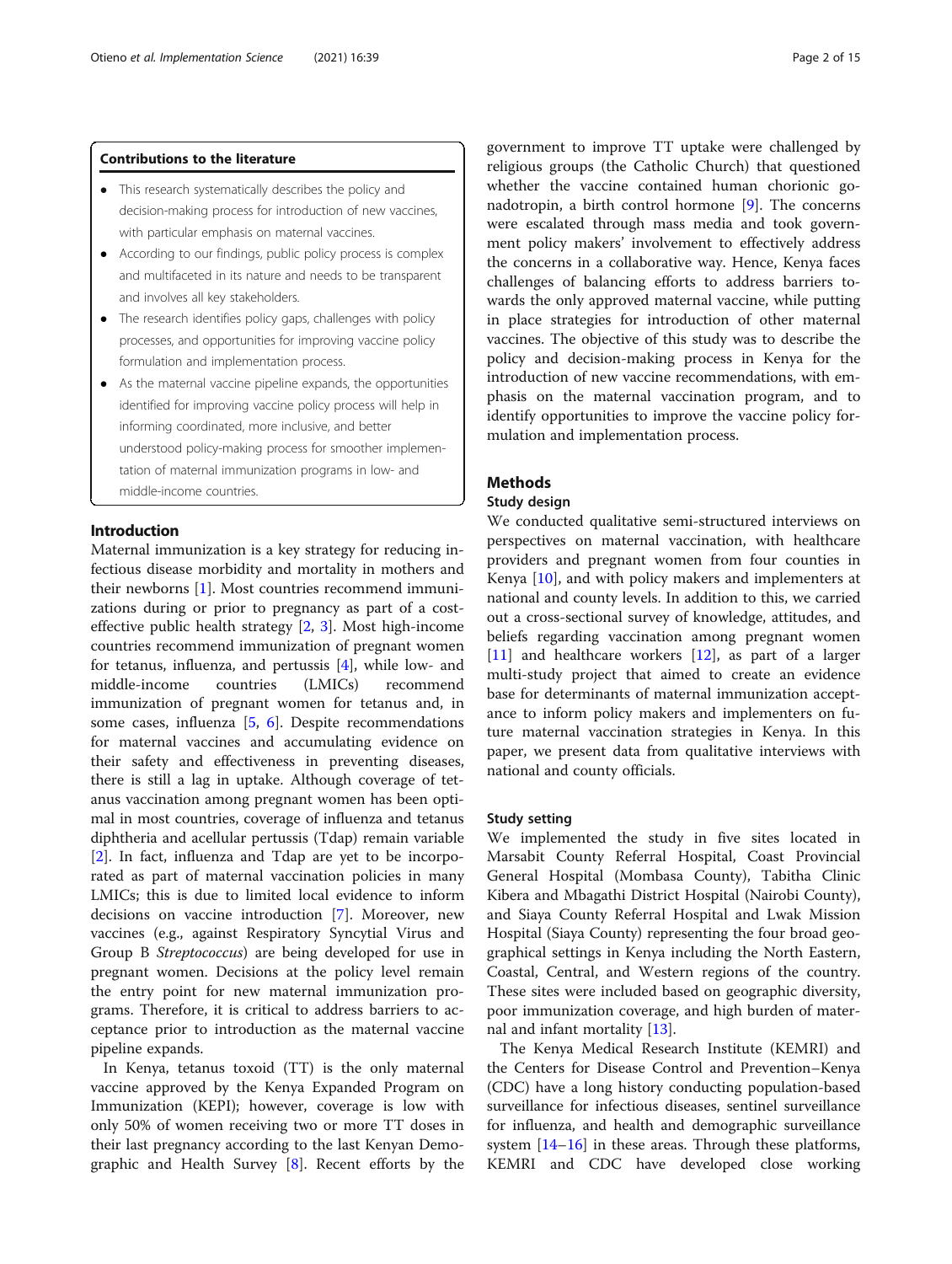# Contributions to the literature

- This research systematically describes the policy and decision-making process for introduction of new vaccines, with particular emphasis on maternal vaccines.
- According to our findings, public policy process is complex and multifaceted in its nature and needs to be transparent and involves all key stakeholders.
- The research identifies policy gaps, challenges with policy processes, and opportunities for improving vaccine policy formulation and implementation process.
- As the maternal vaccine pipeline expands, the opportunities identified for improving vaccine policy process will help in informing coordinated, more inclusive, and better understood policy-making process for smoother implementation of maternal immunization programs in low- and middle-income countries.

# Introduction

Maternal immunization is a key strategy for reducing infectious disease morbidity and mortality in mothers and their newborns [[1\]](#page-14-0). Most countries recommend immunizations during or prior to pregnancy as part of a costeffective public health strategy [[2,](#page-14-0) [3](#page-14-0)]. Most high-income countries recommend immunization of pregnant women for tetanus, influenza, and pertussis [\[4](#page-14-0)], while low- and middle-income countries (LMICs) recommend immunization of pregnant women for tetanus and, in some cases, influenza [\[5](#page-14-0), [6\]](#page-14-0). Despite recommendations for maternal vaccines and accumulating evidence on their safety and effectiveness in preventing diseases, there is still a lag in uptake. Although coverage of tetanus vaccination among pregnant women has been optimal in most countries, coverage of influenza and tetanus diphtheria and acellular pertussis (Tdap) remain variable [[2\]](#page-14-0). In fact, influenza and Tdap are yet to be incorporated as part of maternal vaccination policies in many LMICs; this is due to limited local evidence to inform decisions on vaccine introduction [[7\]](#page-14-0). Moreover, new vaccines (e.g., against Respiratory Syncytial Virus and Group B Streptococcus) are being developed for use in pregnant women. Decisions at the policy level remain the entry point for new maternal immunization programs. Therefore, it is critical to address barriers to acceptance prior to introduction as the maternal vaccine pipeline expands.

In Kenya, tetanus toxoid (TT) is the only maternal vaccine approved by the Kenya Expanded Program on Immunization (KEPI); however, coverage is low with only 50% of women receiving two or more TT doses in their last pregnancy according to the last Kenyan Demographic and Health Survey [\[8\]](#page-14-0). Recent efforts by the government to improve TT uptake were challenged by religious groups (the Catholic Church) that questioned whether the vaccine contained human chorionic gonadotropin, a birth control hormone [\[9](#page-14-0)]. The concerns were escalated through mass media and took government policy makers' involvement to effectively address the concerns in a collaborative way. Hence, Kenya faces challenges of balancing efforts to address barriers towards the only approved maternal vaccine, while putting in place strategies for introduction of other maternal vaccines. The objective of this study was to describe the policy and decision-making process in Kenya for the introduction of new vaccine recommendations, with emphasis on the maternal vaccination program, and to identify opportunities to improve the vaccine policy formulation and implementation process.

# **Methods**

# Study design

We conducted qualitative semi-structured interviews on perspectives on maternal vaccination, with healthcare providers and pregnant women from four counties in Kenya [\[10](#page-14-0)], and with policy makers and implementers at national and county levels. In addition to this, we carried out a cross-sectional survey of knowledge, attitudes, and beliefs regarding vaccination among pregnant women [[11\]](#page-14-0) and healthcare workers [[12](#page-14-0)], as part of a larger multi-study project that aimed to create an evidence base for determinants of maternal immunization acceptance to inform policy makers and implementers on future maternal vaccination strategies in Kenya. In this paper, we present data from qualitative interviews with national and county officials.

# Study setting

We implemented the study in five sites located in Marsabit County Referral Hospital, Coast Provincial General Hospital (Mombasa County), Tabitha Clinic Kibera and Mbagathi District Hospital (Nairobi County), and Siaya County Referral Hospital and Lwak Mission Hospital (Siaya County) representing the four broad geographical settings in Kenya including the North Eastern, Coastal, Central, and Western regions of the country. These sites were included based on geographic diversity, poor immunization coverage, and high burden of maternal and infant mortality  $|13|$ .

The Kenya Medical Research Institute (KEMRI) and the Centers for Disease Control and Prevention–Kenya (CDC) have a long history conducting population-based surveillance for infectious diseases, sentinel surveillance for influenza, and health and demographic surveillance system [\[14](#page-14-0)–[16\]](#page-14-0) in these areas. Through these platforms, KEMRI and CDC have developed close working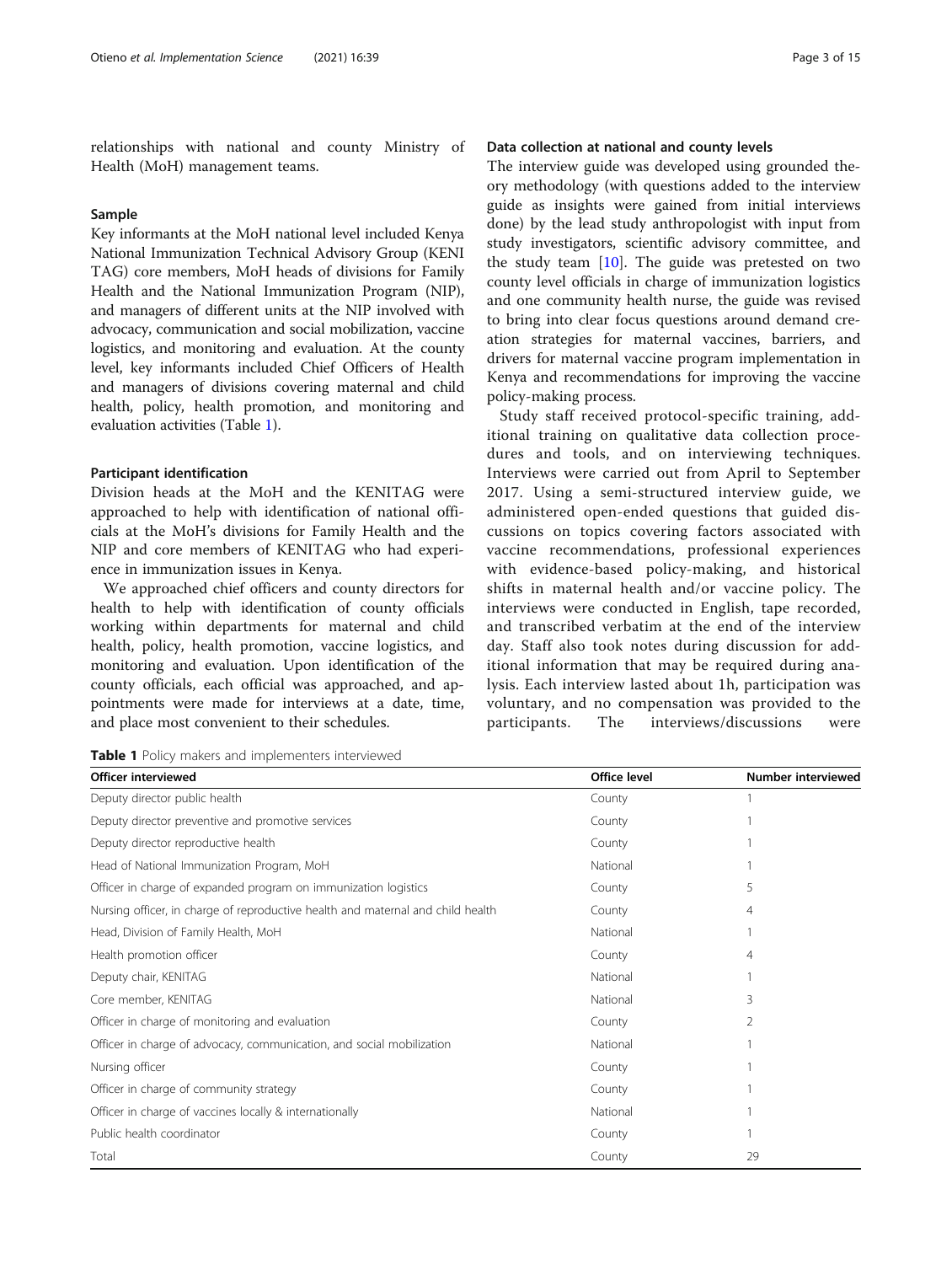relationships with national and county Ministry of Health (MoH) management teams.

#### Sample

Key informants at the MoH national level included Kenya National Immunization Technical Advisory Group (KENI TAG) core members, MoH heads of divisions for Family Health and the National Immunization Program (NIP), and managers of different units at the NIP involved with advocacy, communication and social mobilization, vaccine logistics, and monitoring and evaluation. At the county level, key informants included Chief Officers of Health and managers of divisions covering maternal and child health, policy, health promotion, and monitoring and evaluation activities (Table 1).

#### Participant identification

Division heads at the MoH and the KENITAG were approached to help with identification of national officials at the MoH's divisions for Family Health and the NIP and core members of KENITAG who had experience in immunization issues in Kenya.

We approached chief officers and county directors for health to help with identification of county officials working within departments for maternal and child health, policy, health promotion, vaccine logistics, and monitoring and evaluation. Upon identification of the county officials, each official was approached, and appointments were made for interviews at a date, time, and place most convenient to their schedules.

# Data collection at national and county levels

The interview guide was developed using grounded theory methodology (with questions added to the interview guide as insights were gained from initial interviews done) by the lead study anthropologist with input from study investigators, scientific advisory committee, and the study team  $[10]$  $[10]$  $[10]$ . The guide was pretested on two county level officials in charge of immunization logistics and one community health nurse, the guide was revised to bring into clear focus questions around demand creation strategies for maternal vaccines, barriers, and drivers for maternal vaccine program implementation in Kenya and recommendations for improving the vaccine policy-making process.

Study staff received protocol-specific training, additional training on qualitative data collection procedures and tools, and on interviewing techniques. Interviews were carried out from April to September 2017. Using a semi-structured interview guide, we administered open-ended questions that guided discussions on topics covering factors associated with vaccine recommendations, professional experiences with evidence-based policy-making, and historical shifts in maternal health and/or vaccine policy. The interviews were conducted in English, tape recorded, and transcribed verbatim at the end of the interview day. Staff also took notes during discussion for additional information that may be required during analysis. Each interview lasted about 1h, participation was voluntary, and no compensation was provided to the participants. The interviews/discussions were

Table 1 Policy makers and implementers interviewed

| <b>Officer interviewed</b>                                                      | Office level | <b>Number interviewed</b> |
|---------------------------------------------------------------------------------|--------------|---------------------------|
| Deputy director public health                                                   | County       |                           |
| Deputy director preventive and promotive services                               | County       |                           |
| Deputy director reproductive health                                             | County       |                           |
| Head of National Immunization Program, MoH                                      | National     |                           |
| Officer in charge of expanded program on immunization logistics                 | County       | 5                         |
| Nursing officer, in charge of reproductive health and maternal and child health | County       | 4                         |
| Head, Division of Family Health, MoH                                            | National     |                           |
| Health promotion officer                                                        | County       | 4                         |
| Deputy chair, KENITAG                                                           | National     |                           |
| Core member, KENITAG                                                            | National     |                           |
| Officer in charge of monitoring and evaluation                                  | County       | 2                         |
| Officer in charge of advocacy, communication, and social mobilization           | National     |                           |
| Nursing officer                                                                 | County       |                           |
| Officer in charge of community strategy                                         | County       |                           |
| Officer in charge of vaccines locally & internationally                         | National     |                           |
| Public health coordinator                                                       | County       |                           |
| Total                                                                           | County       | 29                        |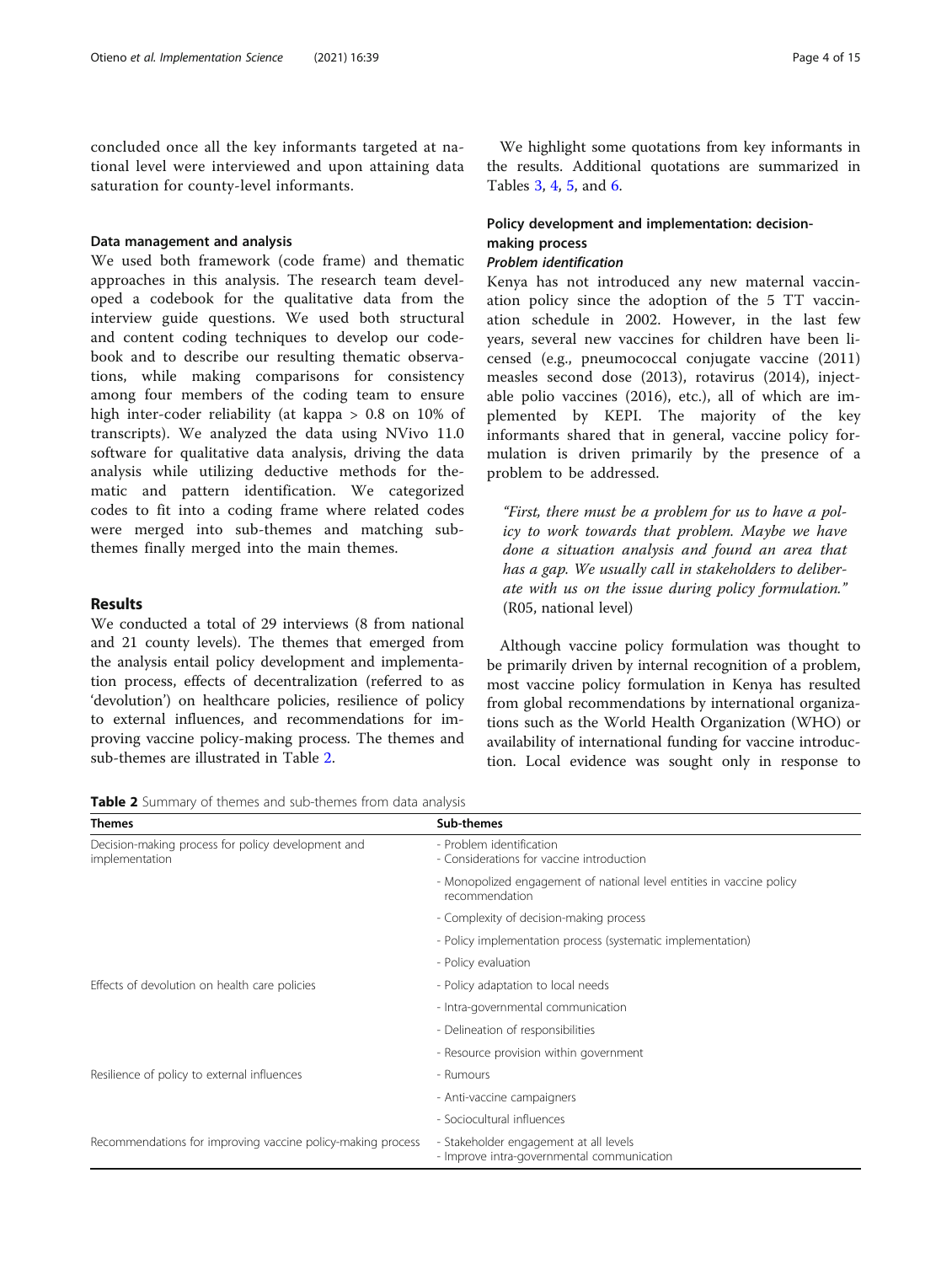concluded once all the key informants targeted at national level were interviewed and upon attaining data saturation for county-level informants.

#### Data management and analysis

We used both framework (code frame) and thematic approaches in this analysis. The research team developed a codebook for the qualitative data from the interview guide questions. We used both structural and content coding techniques to develop our codebook and to describe our resulting thematic observations, while making comparisons for consistency among four members of the coding team to ensure high inter-coder reliability (at kappa > 0.8 on 10% of transcripts). We analyzed the data using NVivo 11.0 software for qualitative data analysis, driving the data analysis while utilizing deductive methods for thematic and pattern identification. We categorized codes to fit into a coding frame where related codes were merged into sub-themes and matching subthemes finally merged into the main themes.

# Results

We conducted a total of 29 interviews (8 from national and 21 county levels). The themes that emerged from the analysis entail policy development and implementation process, effects of decentralization (referred to as 'devolution') on healthcare policies, resilience of policy to external influences, and recommendations for improving vaccine policy-making process. The themes and sub-themes are illustrated in Table 2.

| <b>Table 2</b> Summary of themes and sub-themes from data analysis |  |  |  |
|--------------------------------------------------------------------|--|--|--|
|--------------------------------------------------------------------|--|--|--|

We highlight some quotations from key informants in the results. Additional quotations are summarized in Tables [3](#page-5-0), [4](#page-9-0), [5](#page-10-0), and [6](#page-11-0).

# Policy development and implementation: decisionmaking process

# Problem identification

Kenya has not introduced any new maternal vaccination policy since the adoption of the 5 TT vaccination schedule in 2002. However, in the last few years, several new vaccines for children have been licensed (e.g., pneumococcal conjugate vaccine (2011) measles second dose (2013), rotavirus (2014), injectable polio vaccines (2016), etc.), all of which are implemented by KEPI. The majority of the key informants shared that in general, vaccine policy formulation is driven primarily by the presence of a problem to be addressed.

"First, there must be a problem for us to have a policy to work towards that problem. Maybe we have done a situation analysis and found an area that has a gap. We usually call in stakeholders to deliberate with us on the issue during policy formulation." (R05, national level)

Although vaccine policy formulation was thought to be primarily driven by internal recognition of a problem, most vaccine policy formulation in Kenya has resulted from global recommendations by international organizations such as the World Health Organization (WHO) or availability of international funding for vaccine introduction. Local evidence was sought only in response to

| <b>Themes</b>                                                        | Sub-themes                                                                              |
|----------------------------------------------------------------------|-----------------------------------------------------------------------------------------|
| Decision-making process for policy development and<br>implementation | - Problem identification<br>- Considerations for vaccine introduction                   |
|                                                                      | - Monopolized engagement of national level entities in vaccine policy<br>recommendation |
|                                                                      | - Complexity of decision-making process                                                 |
|                                                                      | - Policy implementation process (systematic implementation)                             |
|                                                                      | - Policy evaluation                                                                     |
| Effects of devolution on health care policies                        | - Policy adaptation to local needs                                                      |
|                                                                      | - Intra-governmental communication                                                      |
|                                                                      | - Delineation of responsibilities                                                       |
|                                                                      | - Resource provision within government                                                  |
| Resilience of policy to external influences                          | - Rumours                                                                               |
|                                                                      | - Anti-vaccine campaigners                                                              |
|                                                                      | - Sociocultural influences                                                              |
| Recommendations for improving vaccine policy-making process          | - Stakeholder engagement at all levels<br>- Improve intra-governmental communication    |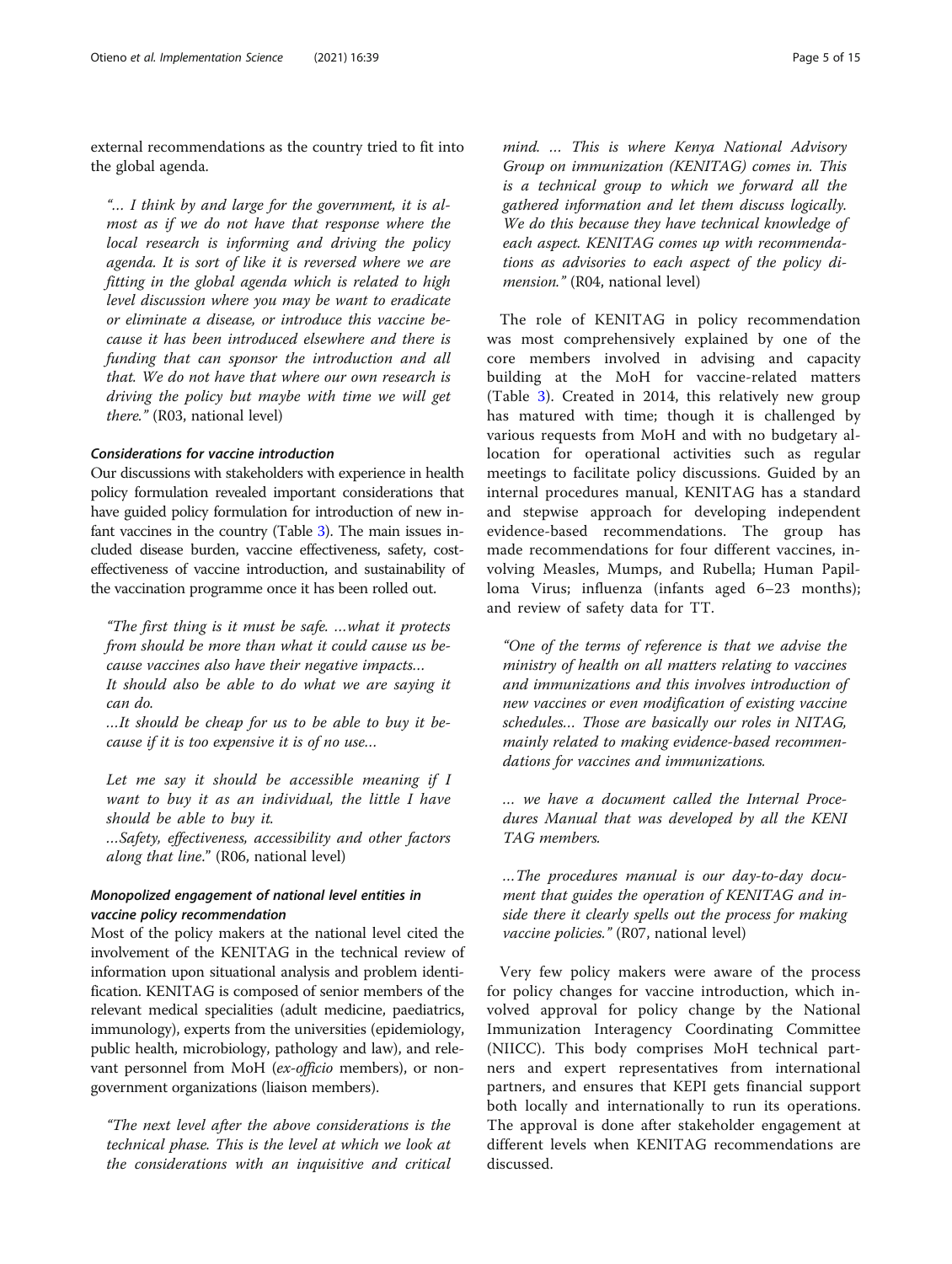external recommendations as the country tried to fit into the global agenda.

"… I think by and large for the government, it is almost as if we do not have that response where the local research is informing and driving the policy agenda. It is sort of like it is reversed where we are fitting in the global agenda which is related to high level discussion where you may be want to eradicate or eliminate a disease, or introduce this vaccine because it has been introduced elsewhere and there is funding that can sponsor the introduction and all that. We do not have that where our own research is driving the policy but maybe with time we will get there." (R03, national level)

# Considerations for vaccine introduction

Our discussions with stakeholders with experience in health policy formulation revealed important considerations that have guided policy formulation for introduction of new infant vaccines in the country (Table [3](#page-5-0)). The main issues included disease burden, vaccine effectiveness, safety, costeffectiveness of vaccine introduction, and sustainability of the vaccination programme once it has been rolled out.

"The first thing is it must be safe. …what it protects from should be more than what it could cause us because vaccines also have their negative impacts… It should also be able to do what we are saying it can do.

…It should be cheap for us to be able to buy it because if it is too expensive it is of no use…

Let me say it should be accessible meaning if I want to buy it as an individual, the little I have should be able to buy it.

…Safety, effectiveness, accessibility and other factors along that line." (R06, national level)

# Monopolized engagement of national level entities in vaccine policy recommendation

Most of the policy makers at the national level cited the involvement of the KENITAG in the technical review of information upon situational analysis and problem identification. KENITAG is composed of senior members of the relevant medical specialities (adult medicine, paediatrics, immunology), experts from the universities (epidemiology, public health, microbiology, pathology and law), and relevant personnel from MoH (ex-officio members), or nongovernment organizations (liaison members).

"The next level after the above considerations is the technical phase. This is the level at which we look at the considerations with an inquisitive and critical mind. … This is where Kenya National Advisory Group on immunization (KENITAG) comes in. This is a technical group to which we forward all the gathered information and let them discuss logically. We do this because they have technical knowledge of each aspect. KENITAG comes up with recommendations as advisories to each aspect of the policy dimension." (R04, national level)

The role of KENITAG in policy recommendation was most comprehensively explained by one of the core members involved in advising and capacity building at the MoH for vaccine-related matters (Table [3](#page-5-0)). Created in 2014, this relatively new group has matured with time; though it is challenged by various requests from MoH and with no budgetary allocation for operational activities such as regular meetings to facilitate policy discussions. Guided by an internal procedures manual, KENITAG has a standard and stepwise approach for developing independent evidence-based recommendations. The group has made recommendations for four different vaccines, involving Measles, Mumps, and Rubella; Human Papilloma Virus; influenza (infants aged 6–23 months); and review of safety data for TT.

"One of the terms of reference is that we advise the ministry of health on all matters relating to vaccines and immunizations and this involves introduction of new vaccines or even modification of existing vaccine schedules… Those are basically our roles in NITAG, mainly related to making evidence-based recommendations for vaccines and immunizations.

… we have a document called the Internal Procedures Manual that was developed by all the KENI TAG members.

…The procedures manual is our day-to-day document that guides the operation of KENITAG and inside there it clearly spells out the process for making vaccine policies." (R07, national level)

Very few policy makers were aware of the process for policy changes for vaccine introduction, which involved approval for policy change by the National Immunization Interagency Coordinating Committee (NIICC). This body comprises MoH technical partners and expert representatives from international partners, and ensures that KEPI gets financial support both locally and internationally to run its operations. The approval is done after stakeholder engagement at different levels when KENITAG recommendations are discussed.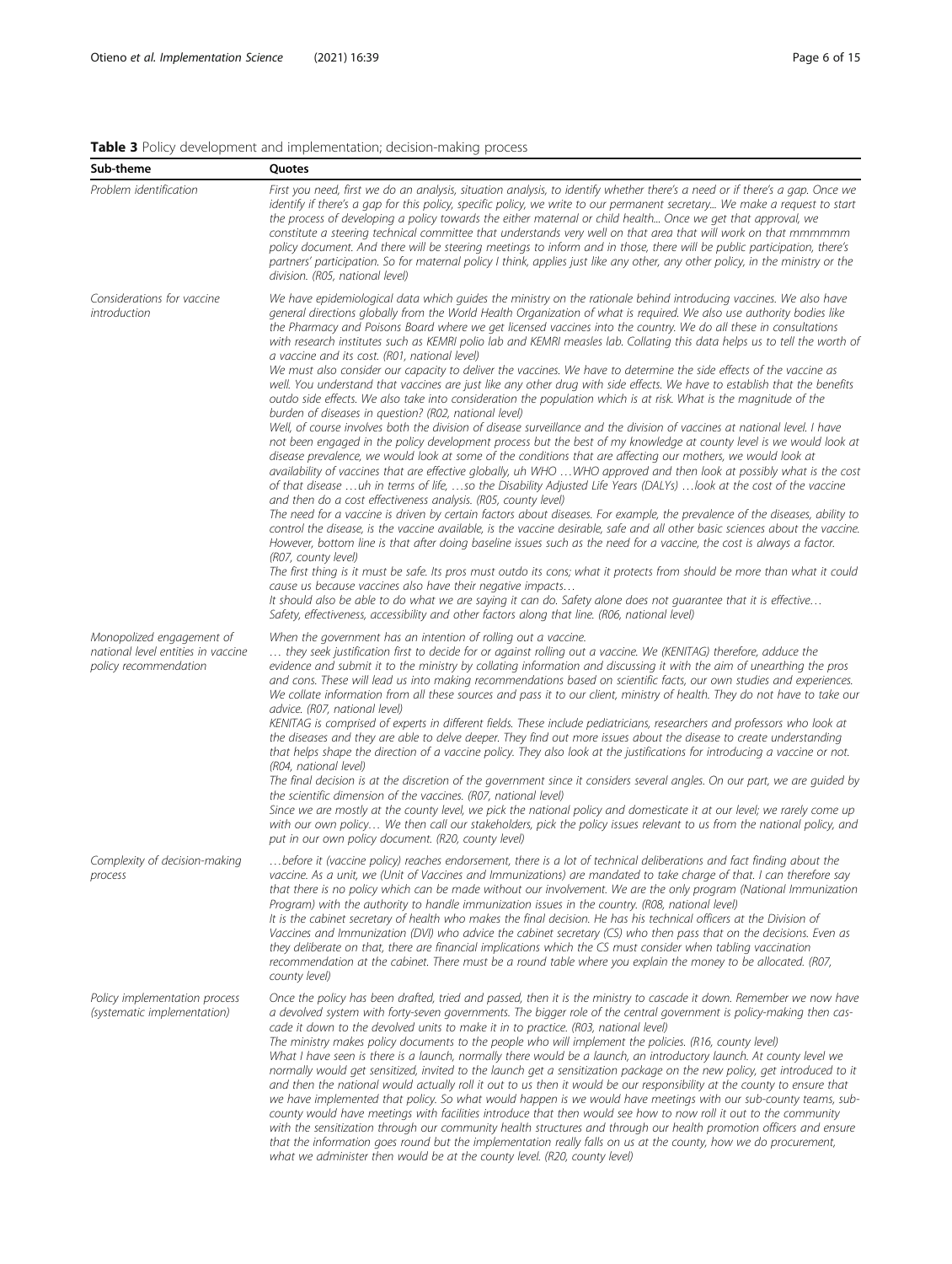# <span id="page-5-0"></span>Table 3 Policy development and implementation; decision-making process

| Sub-theme                                                                                | Quotes                                                                                                                                                                                                                                                                                                                                                                                                                                                                                                                                                                                                                                                                                                                                                                                                                                                                                                                                                                                                                                                                                                                                                                                                                                                                                                                                                                                                                                                                                                                                                                                                                                                                                                                                                                                                                                                                                                                                                                                                                                                                                                                                                                                                                                                                                                                                                                                                                                                                                            |
|------------------------------------------------------------------------------------------|---------------------------------------------------------------------------------------------------------------------------------------------------------------------------------------------------------------------------------------------------------------------------------------------------------------------------------------------------------------------------------------------------------------------------------------------------------------------------------------------------------------------------------------------------------------------------------------------------------------------------------------------------------------------------------------------------------------------------------------------------------------------------------------------------------------------------------------------------------------------------------------------------------------------------------------------------------------------------------------------------------------------------------------------------------------------------------------------------------------------------------------------------------------------------------------------------------------------------------------------------------------------------------------------------------------------------------------------------------------------------------------------------------------------------------------------------------------------------------------------------------------------------------------------------------------------------------------------------------------------------------------------------------------------------------------------------------------------------------------------------------------------------------------------------------------------------------------------------------------------------------------------------------------------------------------------------------------------------------------------------------------------------------------------------------------------------------------------------------------------------------------------------------------------------------------------------------------------------------------------------------------------------------------------------------------------------------------------------------------------------------------------------------------------------------------------------------------------------------------------------|
| Problem identification                                                                   | First you need, first we do an analysis, situation analysis, to identify whether there's a need or if there's a gap. Once we<br>identify if there's a gap for this policy, specific policy, we write to our permanent secretary We make a request to start<br>the process of developing a policy towards the either maternal or child health Once we get that approval, we<br>constitute a steering technical committee that understands very well on that area that will work on that mmmmmm<br>policy document. And there will be steering meetings to inform and in those, there will be public participation, there's<br>partners' participation. So for maternal policy I think, applies just like any other, any other policy, in the ministry or the<br>division. (R05, national level)                                                                                                                                                                                                                                                                                                                                                                                                                                                                                                                                                                                                                                                                                                                                                                                                                                                                                                                                                                                                                                                                                                                                                                                                                                                                                                                                                                                                                                                                                                                                                                                                                                                                                                    |
| Considerations for vaccine<br>introduction                                               | We have epidemiological data which quides the ministry on the rationale behind introducing vaccines. We also have<br>general directions globally from the World Health Organization of what is required. We also use authority bodies like<br>the Pharmacy and Poisons Board where we get licensed vaccines into the country. We do all these in consultations<br>with research institutes such as KEMRI polio lab and KEMRI measles lab. Collating this data helps us to tell the worth of<br>a vaccine and its cost. (R01, national level)<br>We must also consider our capacity to deliver the vaccines. We have to determine the side effects of the vaccine as<br>well. You understand that vaccines are just like any other drug with side effects. We have to establish that the benefits<br>outdo side effects. We also take into consideration the population which is at risk. What is the magnitude of the<br>burden of diseases in question? (R02, national level)<br>Well, of course involves both the division of disease surveillance and the division of vaccines at national level. I have<br>not been engaged in the policy development process but the best of my knowledge at county level is we would look at<br>disease prevalence, we would look at some of the conditions that are affecting our mothers, we would look at<br>availability of vaccines that are effective globally, uh WHO WHO approved and then look at possibly what is the cost<br>of that disease uh in terms of life, so the Disability Adjusted Life Years (DALYs) look at the cost of the vaccine<br>and then do a cost effectiveness analysis. (R05, county level)<br>The need for a vaccine is driven by certain factors about diseases. For example, the prevalence of the diseases, ability to<br>control the disease, is the vaccine available, is the vaccine desirable, safe and all other basic sciences about the vaccine.<br>However, bottom line is that after doing baseline issues such as the need for a vaccine, the cost is always a factor.<br>(R07, county level)<br>The first thing is it must be safe. Its pros must outdo its cons; what it protects from should be more than what it could<br>cause us because vaccines also have their negative impacts<br>It should also be able to do what we are saying it can do. Safety alone does not quarantee that it is effective<br>Safety, effectiveness, accessibility and other factors along that line. (R06, national level) |
| Monopolized engagement of<br>national level entities in vaccine<br>policy recommendation | When the government has an intention of rolling out a vaccine.<br>they seek justification first to decide for or against rolling out a vaccine. We (KENITAG) therefore, adduce the<br>evidence and submit it to the ministry by collating information and discussing it with the aim of unearthing the pros<br>and cons. These will lead us into making recommendations based on scientific facts, our own studies and experiences.<br>We collate information from all these sources and pass it to our client, ministry of health. They do not have to take our<br>advice. (R07, national level)<br>KENITAG is comprised of experts in different fields. These include pediatricians, researchers and professors who look at<br>the diseases and they are able to delve deeper. They find out more issues about the disease to create understanding<br>that helps shape the direction of a vaccine policy. They also look at the justifications for introducing a vaccine or not.<br>(R04, national level)<br>The final decision is at the discretion of the government since it considers several angles. On our part, we are guided by<br>the scientific dimension of the vaccines. (R07, national level)<br>Since we are mostly at the county level, we pick the national policy and domesticate it at our level; we rarely come up<br>with our own policy We then call our stakeholders, pick the policy issues relevant to us from the national policy, and<br>put in our own policy document. (R20, county level)                                                                                                                                                                                                                                                                                                                                                                                                                                                                                                                                                                                                                                                                                                                                                                                                                                                                                                                                                                          |
| Complexity of decision-making<br>process                                                 | before it (vaccine policy) reaches endorsement, there is a lot of technical deliberations and fact finding about the<br>vaccine. As a unit, we (Unit of Vaccines and Immunizations) are mandated to take charge of that. I can therefore say<br>that there is no policy which can be made without our involvement. We are the only program (National Immunization<br>Program) with the authority to handle immunization issues in the country. (R08, national level)<br>It is the cabinet secretary of health who makes the final decision. He has his technical officers at the Division of<br>Vaccines and Immunization (DVI) who advice the cabinet secretary (CS) who then pass that on the decisions. Even as<br>they deliberate on that, there are financial implications which the CS must consider when tabling vaccination<br>recommendation at the cabinet. There must be a round table where you explain the money to be allocated. (R07,<br>county level)                                                                                                                                                                                                                                                                                                                                                                                                                                                                                                                                                                                                                                                                                                                                                                                                                                                                                                                                                                                                                                                                                                                                                                                                                                                                                                                                                                                                                                                                                                                             |
| Policy implementation process<br>(systematic implementation)                             | Once the policy has been drafted, tried and passed, then it is the ministry to cascade it down. Remember we now have<br>a devolved system with forty-seven governments. The bigger role of the central government is policy-making then cas-<br>cade it down to the devolved units to make it in to practice. (R03, national level)<br>The ministry makes policy documents to the people who will implement the policies. (R16, county level)<br>What I have seen is there is a launch, normally there would be a launch, an introductory launch. At county level we<br>normally would get sensitized, invited to the launch get a sensitization package on the new policy, get introduced to it<br>and then the national would actually roll it out to us then it would be our responsibility at the county to ensure that<br>we have implemented that policy. So what would happen is we would have meetings with our sub-county teams, sub-<br>county would have meetings with facilities introduce that then would see how to now roll it out to the community<br>with the sensitization through our community health structures and through our health promotion officers and ensure<br>that the information goes round but the implementation really falls on us at the county, how we do procurement,<br>what we administer then would be at the county level. (R20, county level)                                                                                                                                                                                                                                                                                                                                                                                                                                                                                                                                                                                                                                                                                                                                                                                                                                                                                                                                                                                                                                                                                                         |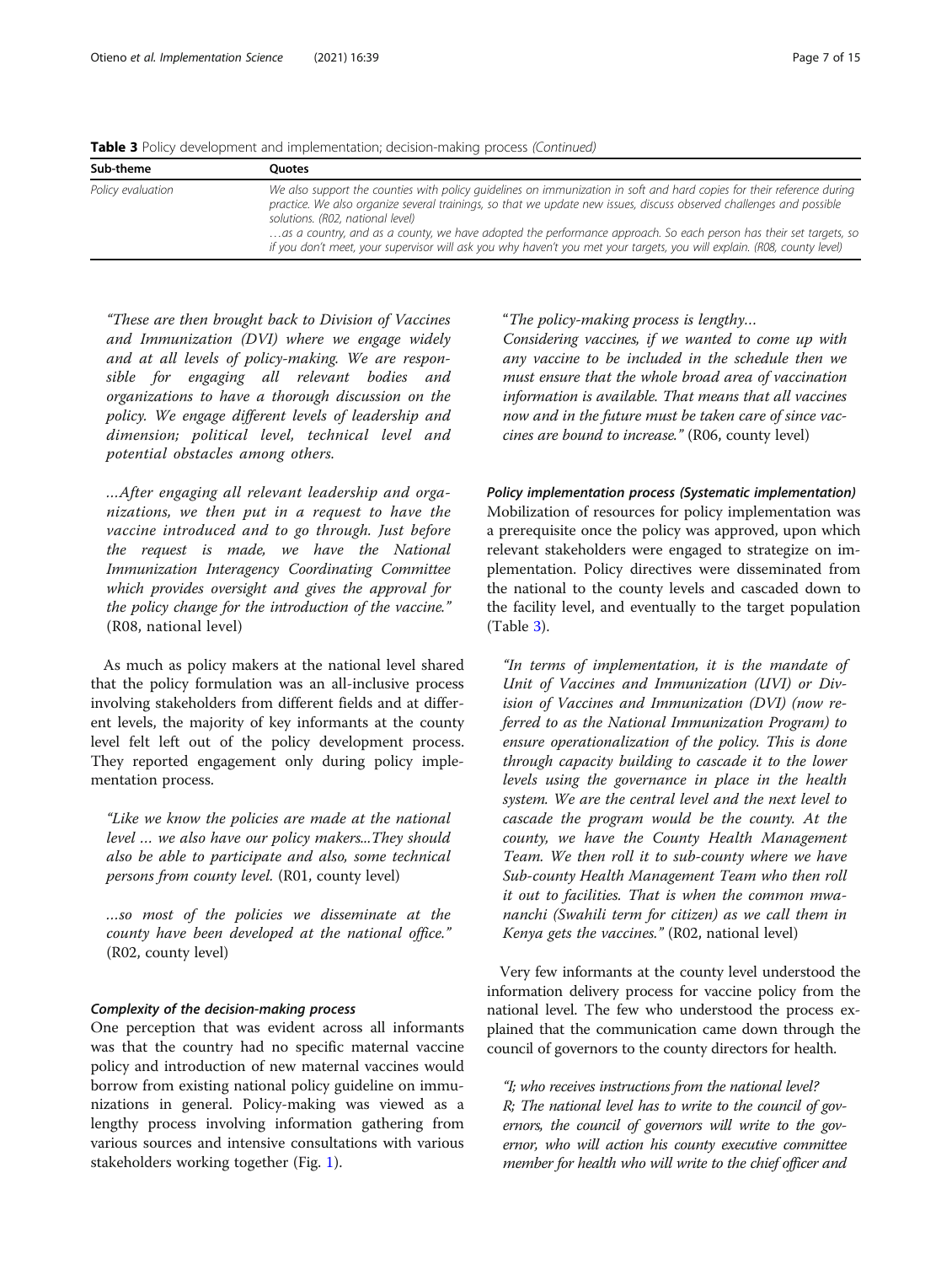Table 3 Policy development and implementation; decision-making process (Continued)

| Sub-theme         | Ouotes                                                                                                                                                                                                                                                                                                                                                                                                                                                                                                                             |
|-------------------|------------------------------------------------------------------------------------------------------------------------------------------------------------------------------------------------------------------------------------------------------------------------------------------------------------------------------------------------------------------------------------------------------------------------------------------------------------------------------------------------------------------------------------|
| Policy evaluation | We also support the counties with policy quidelines on immunization in soft and hard copies for their reference during<br>practice. We also organize several trainings, so that we update new issues, discuss observed challenges and possible<br>solutions. (R02, national level)<br>as a country, and as a county, we have adopted the performance approach. So each person has their set targets, so<br>if you don't meet, your supervisor will ask you why haven't you met your targets, you will explain. (R08, county level) |

"These are then brought back to Division of Vaccines and Immunization (DVI) where we engage widely and at all levels of policy-making. We are responsible for engaging all relevant bodies and organizations to have a thorough discussion on the policy. We engage different levels of leadership and dimension; political level, technical level and potential obstacles among others.

…After engaging all relevant leadership and organizations, we then put in a request to have the vaccine introduced and to go through. Just before the request is made, we have the National Immunization Interagency Coordinating Committee which provides oversight and gives the approval for the policy change for the introduction of the vaccine." (R08, national level)

As much as policy makers at the national level shared that the policy formulation was an all-inclusive process involving stakeholders from different fields and at different levels, the majority of key informants at the county level felt left out of the policy development process. They reported engagement only during policy implementation process.

"Like we know the policies are made at the national level … we also have our policy makers...They should also be able to participate and also, some technical persons from county level. (R01, county level)

…so most of the policies we disseminate at the county have been developed at the national office." (R02, county level)

## Complexity of the decision-making process

One perception that was evident across all informants was that the country had no specific maternal vaccine policy and introduction of new maternal vaccines would borrow from existing national policy guideline on immunizations in general. Policy-making was viewed as a lengthy process involving information gathering from various sources and intensive consultations with various stakeholders working together (Fig. [1\)](#page-8-0).

"The policy-making process is lengthy…

Considering vaccines, if we wanted to come up with any vaccine to be included in the schedule then we must ensure that the whole broad area of vaccination information is available. That means that all vaccines now and in the future must be taken care of since vaccines are bound to increase." (R06, county level)

Policy implementation process (Systematic implementation) Mobilization of resources for policy implementation was a prerequisite once the policy was approved, upon which relevant stakeholders were engaged to strategize on implementation. Policy directives were disseminated from the national to the county levels and cascaded down to the facility level, and eventually to the target population (Table [3\)](#page-5-0).

"In terms of implementation, it is the mandate of Unit of Vaccines and Immunization (UVI) or Division of Vaccines and Immunization (DVI) (now referred to as the National Immunization Program) to ensure operationalization of the policy. This is done through capacity building to cascade it to the lower levels using the governance in place in the health system. We are the central level and the next level to cascade the program would be the county. At the county, we have the County Health Management Team. We then roll it to sub-county where we have Sub-county Health Management Team who then roll it out to facilities. That is when the common mwananchi (Swahili term for citizen) as we call them in Kenya gets the vaccines." (R02, national level)

Very few informants at the county level understood the information delivery process for vaccine policy from the national level. The few who understood the process explained that the communication came down through the council of governors to the county directors for health.

"I; who receives instructions from the national level? R; The national level has to write to the council of governors, the council of governors will write to the governor, who will action his county executive committee member for health who will write to the chief officer and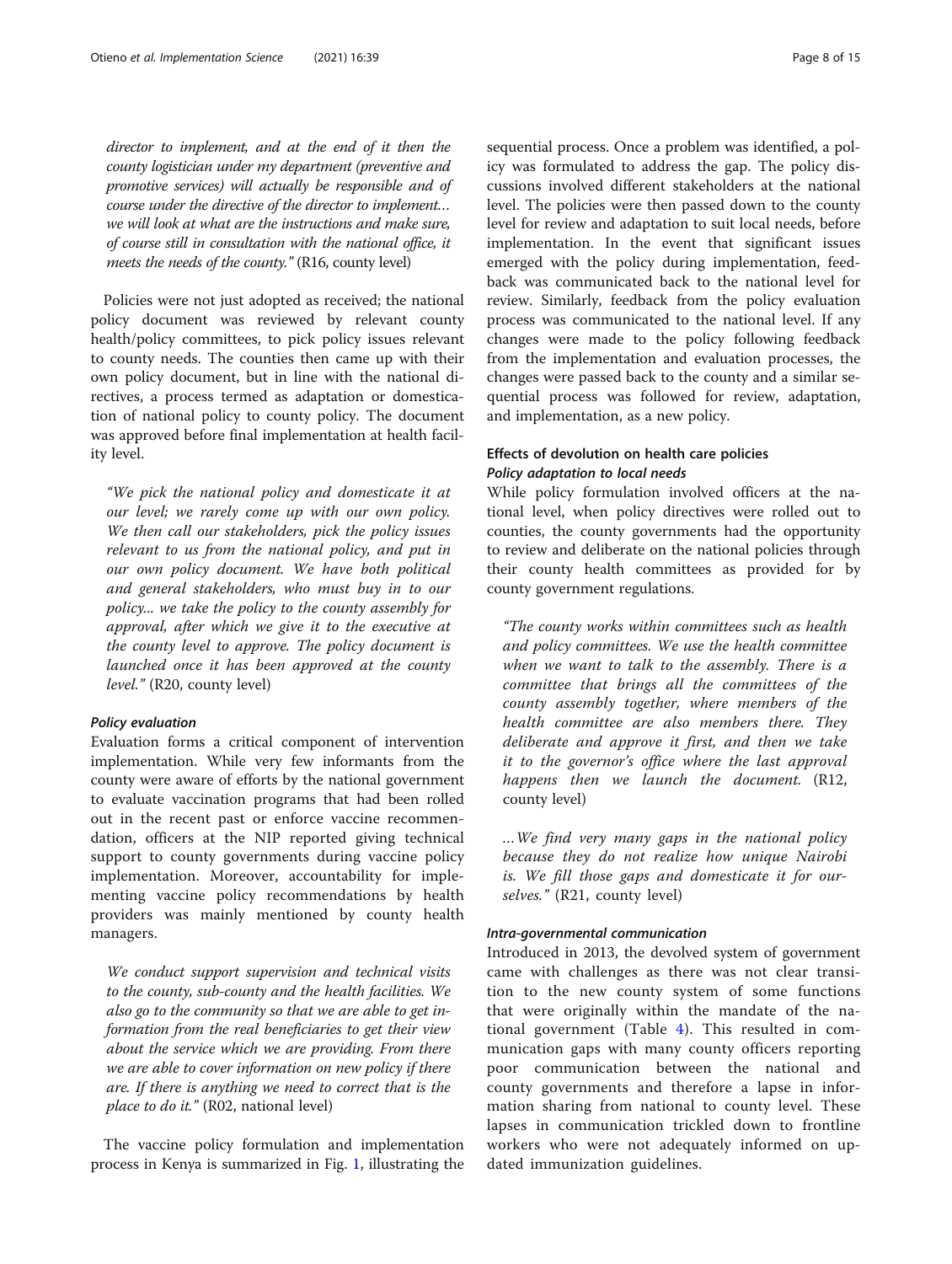director to implement, and at the end of it then the county logistician under my department (preventive and promotive services) will actually be responsible and of course under the directive of the director to implement… we will look at what are the instructions and make sure, of course still in consultation with the national office, it meets the needs of the county." (R16, county level)

Policies were not just adopted as received; the national policy document was reviewed by relevant county health/policy committees, to pick policy issues relevant to county needs. The counties then came up with their own policy document, but in line with the national directives, a process termed as adaptation or domestication of national policy to county policy. The document was approved before final implementation at health facility level.

"We pick the national policy and domesticate it at our level; we rarely come up with our own policy. We then call our stakeholders, pick the policy issues relevant to us from the national policy, and put in our own policy document. We have both political and general stakeholders, who must buy in to our policy... we take the policy to the county assembly for approval, after which we give it to the executive at the county level to approve. The policy document is launched once it has been approved at the county level." (R20, county level)

# Policy evaluation

Evaluation forms a critical component of intervention implementation. While very few informants from the county were aware of efforts by the national government to evaluate vaccination programs that had been rolled out in the recent past or enforce vaccine recommendation, officers at the NIP reported giving technical support to county governments during vaccine policy implementation. Moreover, accountability for implementing vaccine policy recommendations by health providers was mainly mentioned by county health managers.

We conduct support supervision and technical visits to the county, sub-county and the health facilities. We also go to the community so that we are able to get information from the real beneficiaries to get their view about the service which we are providing. From there we are able to cover information on new policy if there are. If there is anything we need to correct that is the place to do it."  $(R02,$  national level)

The vaccine policy formulation and implementation process in Kenya is summarized in Fig. [1](#page-8-0), illustrating the sequential process. Once a problem was identified, a policy was formulated to address the gap. The policy discussions involved different stakeholders at the national level. The policies were then passed down to the county level for review and adaptation to suit local needs, before implementation. In the event that significant issues emerged with the policy during implementation, feedback was communicated back to the national level for review. Similarly, feedback from the policy evaluation

process was communicated to the national level. If any changes were made to the policy following feedback from the implementation and evaluation processes, the changes were passed back to the county and a similar sequential process was followed for review, adaptation, and implementation, as a new policy.

# Effects of devolution on health care policies Policy adaptation to local needs

While policy formulation involved officers at the national level, when policy directives were rolled out to counties, the county governments had the opportunity to review and deliberate on the national policies through their county health committees as provided for by county government regulations.

"The county works within committees such as health and policy committees. We use the health committee when we want to talk to the assembly. There is a committee that brings all the committees of the county assembly together, where members of the health committee are also members there. They deliberate and approve it first, and then we take it to the governor's office where the last approval happens then we launch the document. (R12, county level)

…We find very many gaps in the national policy because they do not realize how unique Nairobi is. We fill those gaps and domesticate it for ourselves." (R21, county level)

## Intra-governmental communication

Introduced in 2013, the devolved system of government came with challenges as there was not clear transition to the new county system of some functions that were originally within the mandate of the national government (Table [4](#page-9-0)). This resulted in communication gaps with many county officers reporting poor communication between the national and county governments and therefore a lapse in information sharing from national to county level. These lapses in communication trickled down to frontline workers who were not adequately informed on updated immunization guidelines.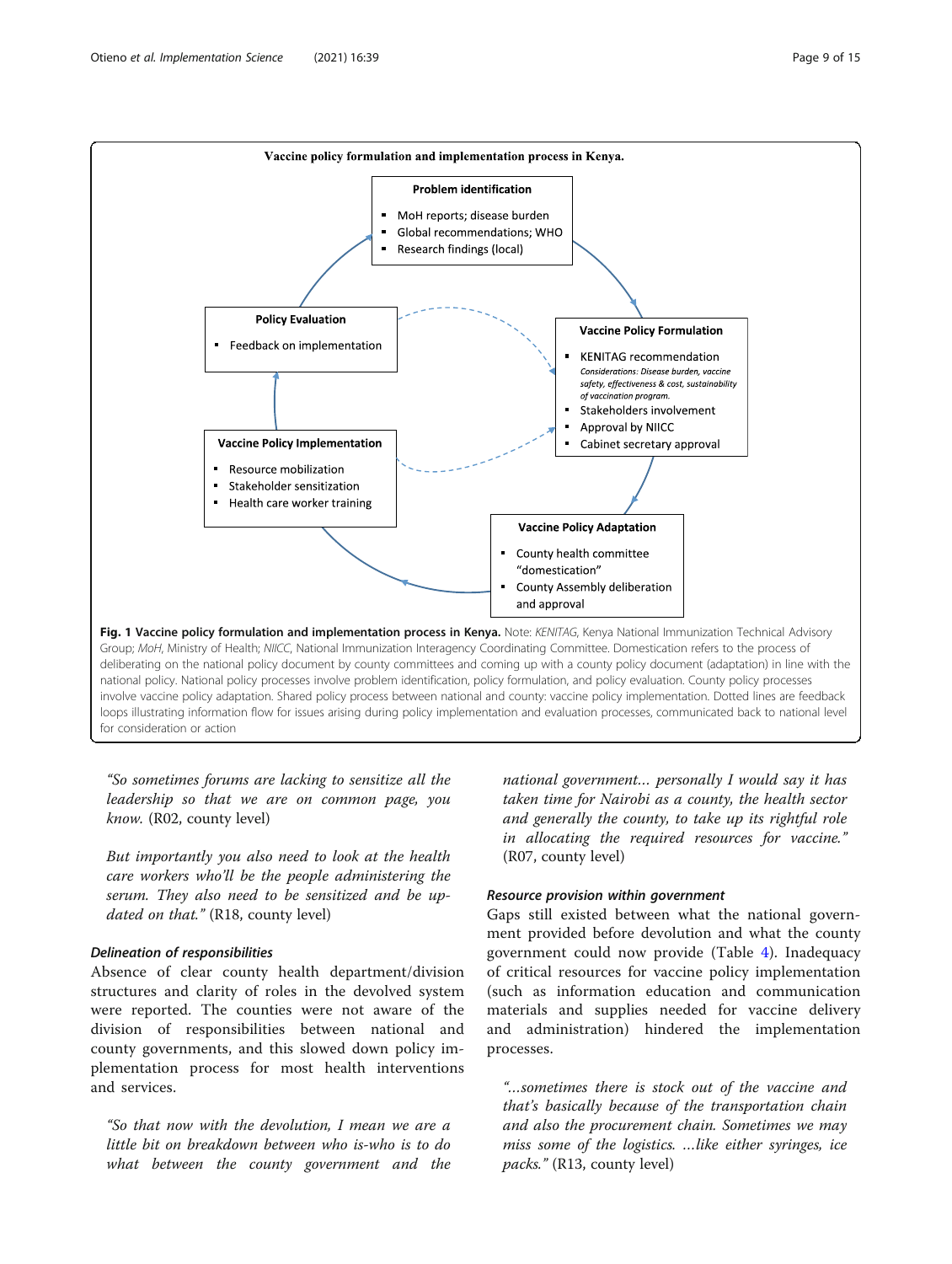<span id="page-8-0"></span>

"So sometimes forums are lacking to sensitize all the leadership so that we are on common page, you know. (R02, county level)

But importantly you also need to look at the health care workers who'll be the people administering the serum. They also need to be sensitized and be updated on that." (R18, county level)

# Delineation of responsibilities

Absence of clear county health department/division structures and clarity of roles in the devolved system were reported. The counties were not aware of the division of responsibilities between national and county governments, and this slowed down policy implementation process for most health interventions and services.

"So that now with the devolution, I mean we are a little bit on breakdown between who is-who is to do what between the county government and the national government… personally I would say it has taken time for Nairobi as a county, the health sector and generally the county, to take up its rightful role in allocating the required resources for vaccine." (R07, county level)

# Resource provision within government

Gaps still existed between what the national government provided before devolution and what the county government could now provide (Table [4](#page-9-0)). Inadequacy of critical resources for vaccine policy implementation (such as information education and communication materials and supplies needed for vaccine delivery and administration) hindered the implementation processes.

"…sometimes there is stock out of the vaccine and that's basically because of the transportation chain and also the procurement chain. Sometimes we may miss some of the logistics. …like either syringes, ice packs." (R13, county level)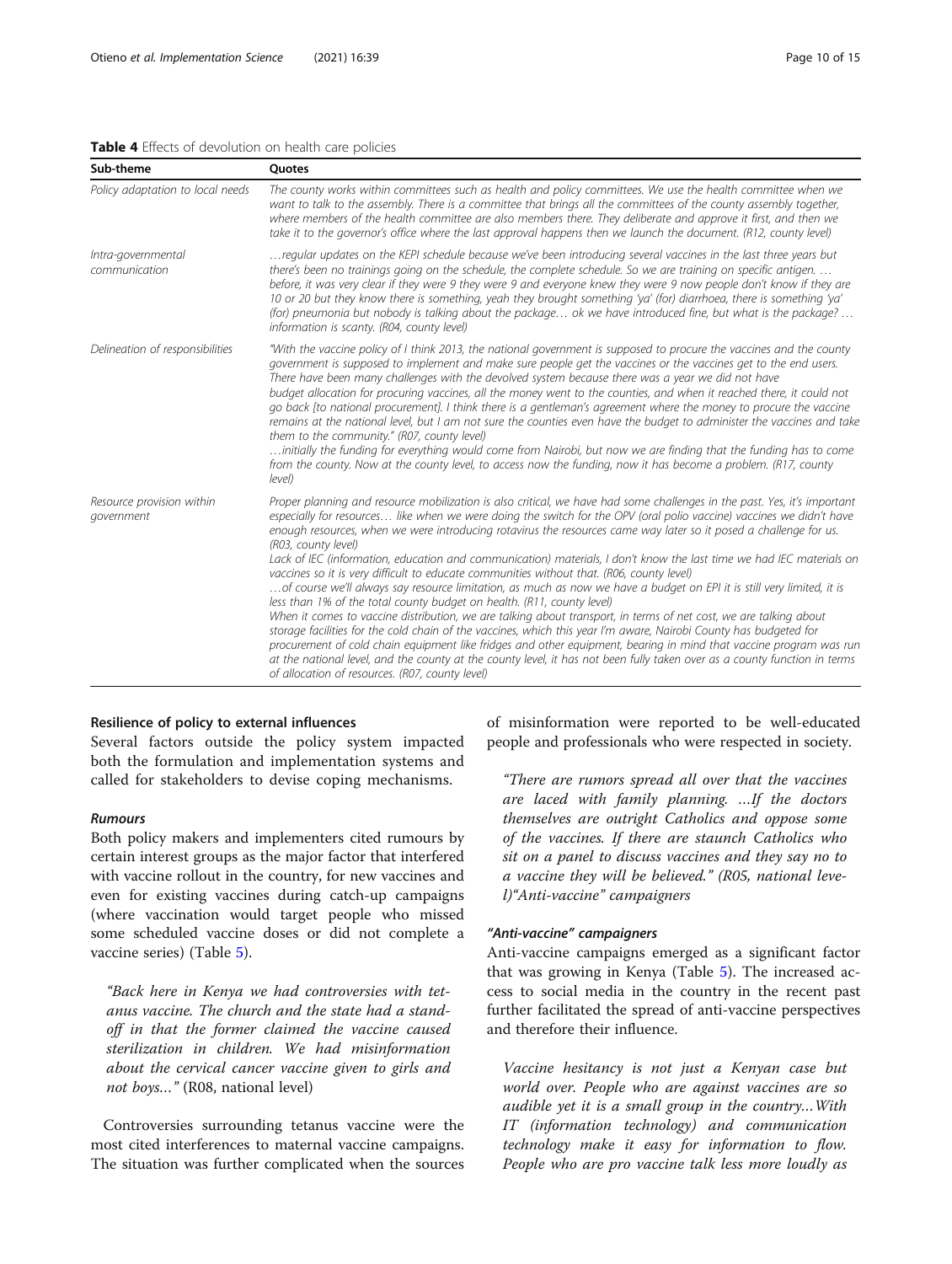#### <span id="page-9-0"></span>Table 4 Effects of devolution on health care policies

Sub-theme **Quotes** 

|                                         | want to talk to the assembly. There is a committee that brings all the committees of the county assembly together,<br>where members of the health committee are also members there. They deliberate and approve it first, and then we<br>take it to the governor's office where the last approval happens then we launch the document. (R12, county level)                                                                                                                                                                                                                                                                                                                                                                                                                                                                                                                                                                                                                                                            |
|-----------------------------------------|-----------------------------------------------------------------------------------------------------------------------------------------------------------------------------------------------------------------------------------------------------------------------------------------------------------------------------------------------------------------------------------------------------------------------------------------------------------------------------------------------------------------------------------------------------------------------------------------------------------------------------------------------------------------------------------------------------------------------------------------------------------------------------------------------------------------------------------------------------------------------------------------------------------------------------------------------------------------------------------------------------------------------|
| Intra-governmental<br>communication     | regular updates on the KEPI schedule because we've been introducing several vaccines in the last three years but<br>there's been no trainings going on the schedule, the complete schedule. So we are training on specific antigen.<br>before, it was very clear if they were 9 they were 9 and everyone knew they were 9 now people don't know if they are<br>10 or 20 but they know there is something, yeah they brought something 'ya' (for) diarrhoea, there is something 'ya'<br>(for) pneumonia but nobody is talking about the package ok we have introduced fine, but what is the package?<br>information is scanty. (R04, county level)                                                                                                                                                                                                                                                                                                                                                                     |
| Delineation of responsibilities         | "With the vaccine policy of I think 2013, the national government is supposed to procure the vaccines and the county<br>government is supposed to implement and make sure people get the vaccines or the vaccines get to the end users.<br>There have been many challenges with the devolved system because there was a year we did not have<br>budget allocation for procuring vaccines, all the money went to the counties, and when it reached there, it could not<br>go back [to national procurement]. I think there is a gentleman's agreement where the money to procure the vaccine<br>remains at the national level, but I am not sure the counties even have the budget to administer the vaccines and take<br>them to the community." (R07, county level)<br>initially the funding for everything would come from Nairobi, but now we are finding that the funding has to come<br>from the county. Now at the county level, to access now the funding, now it has become a problem. (R17, county<br>level) |
| Resource provision within<br>government | Proper planning and resource mobilization is also critical, we have had some challenges in the past. Yes, it's important<br>especially for resources like when we were doing the switch for the OPV (oral polio vaccine) vaccines we didn't have<br>enough resources, when we were introducing rotavirus the resources came way later so it posed a challenge for us.                                                                                                                                                                                                                                                                                                                                                                                                                                                                                                                                                                                                                                                 |

Policy adaptation to local needs The county works within committees such as health and policy committees. We use the health committee when we

Lack of IEC (information, education and communication) materials, I don't know the last time we had IEC materials on vaccines so it is very difficult to educate communities without that. (R06, county level) …of course we'll always say resource limitation, as much as now we have a budget on EPI it is still very limited, it is

less than 1% of the total county budget on health. (R11, county level)

When it comes to vaccine distribution, we are talking about transport, in terms of net cost, we are talking about storage facilities for the cold chain of the vaccines, which this year I'm aware, Nairobi County has budgeted for procurement of cold chain equipment like fridges and other equipment, bearing in mind that vaccine program was run at the national level, and the county at the county level, it has not been fully taken over as a county function in terms of allocation of resources. (R07, county level)

# Resilience of policy to external influences

Several factors outside the policy system impacted both the formulation and implementation systems and called for stakeholders to devise coping mechanisms.

(R03, county level)

# Rumours

Both policy makers and implementers cited rumours by certain interest groups as the major factor that interfered with vaccine rollout in the country, for new vaccines and even for existing vaccines during catch-up campaigns (where vaccination would target people who missed some scheduled vaccine doses or did not complete a vaccine series) (Table [5](#page-10-0)).

"Back here in Kenya we had controversies with tetanus vaccine. The church and the state had a standoff in that the former claimed the vaccine caused sterilization in children. We had misinformation about the cervical cancer vaccine given to girls and not boys…" (R08, national level)

Controversies surrounding tetanus vaccine were the most cited interferences to maternal vaccine campaigns. The situation was further complicated when the sources of misinformation were reported to be well-educated people and professionals who were respected in society.

"There are rumors spread all over that the vaccines are laced with family planning. …If the doctors themselves are outright Catholics and oppose some of the vaccines. If there are staunch Catholics who sit on a panel to discuss vaccines and they say no to a vaccine they will be believed." (R05, national level)"Anti-vaccine" campaigners

#### "Anti-vaccine" campaigners

Anti-vaccine campaigns emerged as a significant factor that was growing in Kenya (Table [5](#page-10-0)). The increased access to social media in the country in the recent past further facilitated the spread of anti-vaccine perspectives and therefore their influence.

Vaccine hesitancy is not just a Kenyan case but world over. People who are against vaccines are so audible yet it is a small group in the country…With IT (information technology) and communication technology make it easy for information to flow. People who are pro vaccine talk less more loudly as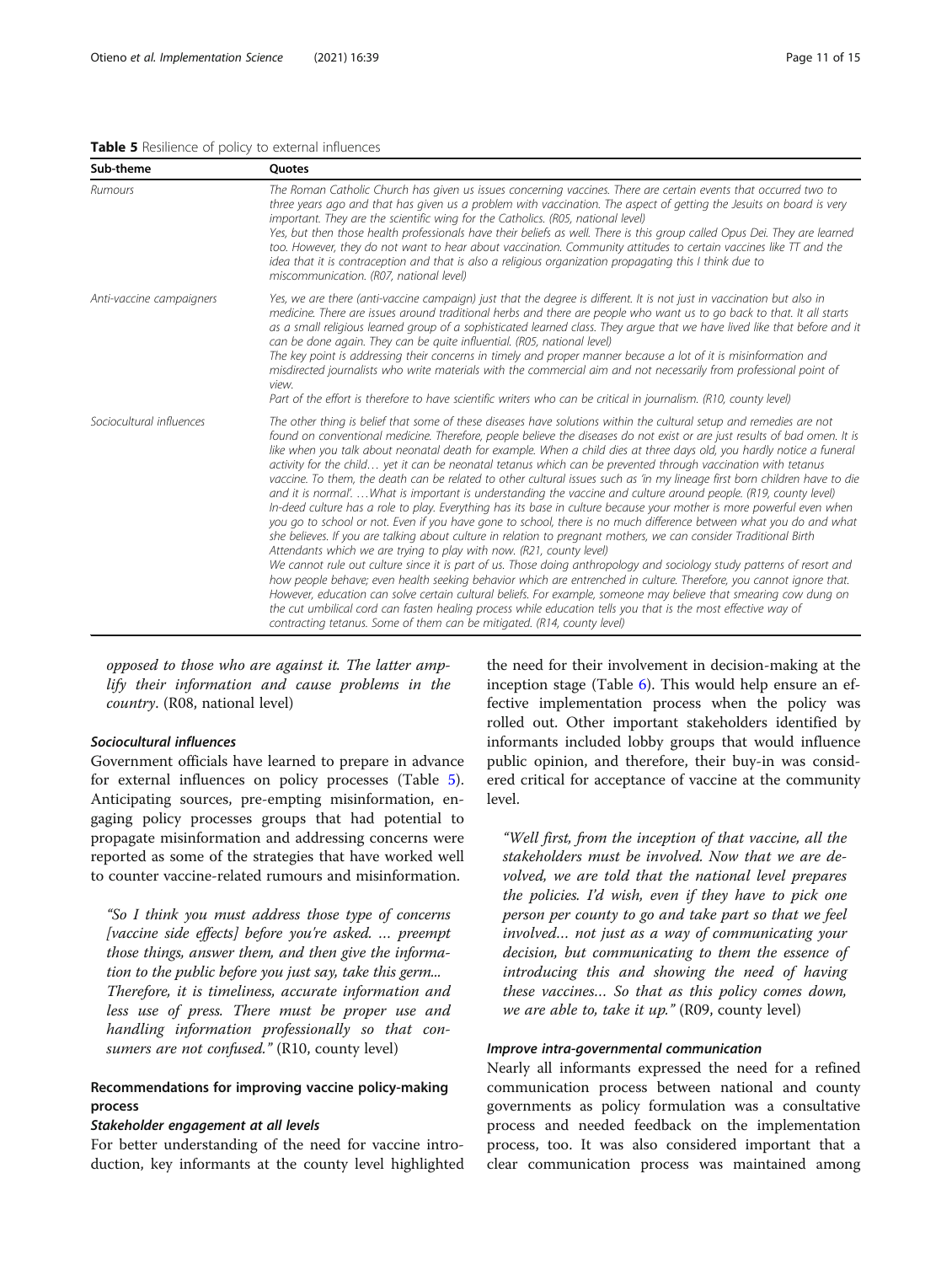#### <span id="page-10-0"></span>Table 5 Resilience of policy to external influences

| Sub-theme                | <b>Ouotes</b>                                                                                                                                                                                                                                                                                                                                                                                                                                                                                                                                                                                                                                                                                                                                                                                                                                                                                                                                                                                                                                                                                                                                                                                                                                                                                                                                                                                                                                                                                                                                                                                                                                                                                                                                             |  |  |  |
|--------------------------|-----------------------------------------------------------------------------------------------------------------------------------------------------------------------------------------------------------------------------------------------------------------------------------------------------------------------------------------------------------------------------------------------------------------------------------------------------------------------------------------------------------------------------------------------------------------------------------------------------------------------------------------------------------------------------------------------------------------------------------------------------------------------------------------------------------------------------------------------------------------------------------------------------------------------------------------------------------------------------------------------------------------------------------------------------------------------------------------------------------------------------------------------------------------------------------------------------------------------------------------------------------------------------------------------------------------------------------------------------------------------------------------------------------------------------------------------------------------------------------------------------------------------------------------------------------------------------------------------------------------------------------------------------------------------------------------------------------------------------------------------------------|--|--|--|
| Rumours                  | The Roman Catholic Church has given us issues concerning vaccines. There are certain events that occurred two to<br>three years ago and that has given us a problem with vaccination. The aspect of getting the Jesuits on board is very<br>important. They are the scientific wing for the Catholics. (R05, national level)<br>Yes, but then those health professionals have their beliefs as well. There is this group called Opus Dei. They are learned<br>too. However, they do not want to hear about vaccination. Community attitudes to certain vaccines like TT and the<br>idea that it is contraception and that is also a religious organization propagating this I think due to<br>miscommunication. (R07, national level)                                                                                                                                                                                                                                                                                                                                                                                                                                                                                                                                                                                                                                                                                                                                                                                                                                                                                                                                                                                                                     |  |  |  |
| Anti-vaccine campaigners | Yes, we are there (anti-vaccine campaign) just that the degree is different. It is not just in vaccination but also in<br>medicine. There are issues around traditional herbs and there are people who want us to go back to that. It all starts<br>as a small religious learned group of a sophisticated learned class. They argue that we have lived like that before and it<br>can be done again. They can be quite influential. (R05, national level)<br>The key point is addressing their concerns in timely and proper manner because a lot of it is misinformation and<br>misdirected journalists who write materials with the commercial aim and not necessarily from professional point of<br>view.<br>Part of the effort is therefore to have scientific writers who can be critical in journalism. (R10, county level)                                                                                                                                                                                                                                                                                                                                                                                                                                                                                                                                                                                                                                                                                                                                                                                                                                                                                                                         |  |  |  |
| Sociocultural influences | The other thing is belief that some of these diseases have solutions within the cultural setup and remedies are not<br>found on conventional medicine. Therefore, people believe the diseases do not exist or are just results of bad omen. It is<br>like when you talk about neonatal death for example. When a child dies at three days old, you hardly notice a funeral<br>activity for the child yet it can be neonatal tetanus which can be prevented through vaccination with tetanus<br>vaccine. To them, the death can be related to other cultural issues such as 'in my lineage first born children have to die<br>and it is normal'What is important is understanding the vaccine and culture around people. (R19, county level)<br>In-deed culture has a role to play. Everything has its base in culture because your mother is more powerful even when<br>you go to school or not. Even if you have gone to school, there is no much difference between what you do and what<br>she believes. If you are talking about culture in relation to pregnant mothers, we can consider Traditional Birth<br>Attendants which we are trying to play with now. (R21, county level)<br>We cannot rule out culture since it is part of us. Those doing anthropology and sociology study patterns of resort and<br>how people behave; even health seeking behavior which are entrenched in culture. Therefore, you cannot ignore that.<br>However, education can solve certain cultural beliefs. For example, someone may believe that smearing cow dung on<br>the cut umbilical cord can fasten healing process while education tells you that is the most effective way of<br>contracting tetanus. Some of them can be mitigated. (R14, county level) |  |  |  |

opposed to those who are against it. The latter amplify their information and cause problems in the country. (R08, national level)

# Sociocultural influences

Government officials have learned to prepare in advance for external influences on policy processes (Table 5). Anticipating sources, pre-empting misinformation, engaging policy processes groups that had potential to propagate misinformation and addressing concerns were reported as some of the strategies that have worked well to counter vaccine-related rumours and misinformation.

"So I think you must address those type of concerns [vaccine side effects] before you're asked. ... preempt those things, answer them, and then give the information to the public before you just say, take this germ... Therefore, it is timeliness, accurate information and less use of press. There must be proper use and handling information professionally so that consumers are not confused." (R10, county level)

# Recommendations for improving vaccine policy-making process

# Stakeholder engagement at all levels

For better understanding of the need for vaccine introduction, key informants at the county level highlighted

the need for their involvement in decision-making at the inception stage (Table [6\)](#page-11-0). This would help ensure an effective implementation process when the policy was rolled out. Other important stakeholders identified by informants included lobby groups that would influence public opinion, and therefore, their buy-in was considered critical for acceptance of vaccine at the community level.

"Well first, from the inception of that vaccine, all the stakeholders must be involved. Now that we are devolved, we are told that the national level prepares the policies. I'd wish, even if they have to pick one person per county to go and take part so that we feel involved… not just as a way of communicating your decision, but communicating to them the essence of introducing this and showing the need of having these vaccines… So that as this policy comes down, we are able to, take it up." (R09, county level)

#### Improve intra-governmental communication

Nearly all informants expressed the need for a refined communication process between national and county governments as policy formulation was a consultative process and needed feedback on the implementation process, too. It was also considered important that a clear communication process was maintained among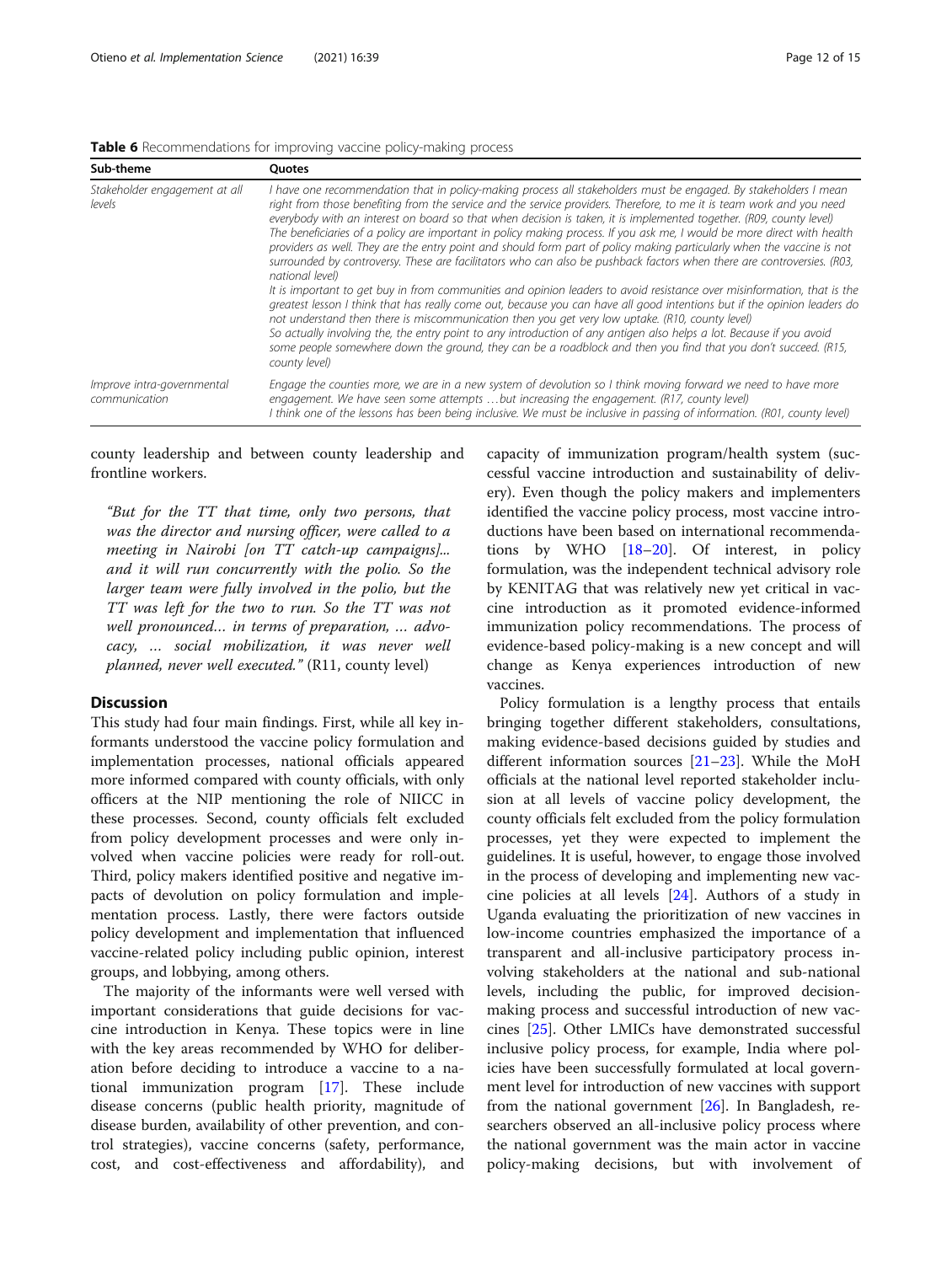<span id="page-11-0"></span>

| Table 6 Recommendations for improving vaccine policy-making process |  |  |  |
|---------------------------------------------------------------------|--|--|--|
|                                                                     |  |  |  |
|                                                                     |  |  |  |

| Sub-theme                                   | Ouotes                                                                                                                                                                                                                                                                                                                                                                                                                                                                                                                                                                                                                                                                                                                                                                                                                                                                                                                                                                                                                                                                                                                                                                                                                                                                                                                                                                                  |
|---------------------------------------------|-----------------------------------------------------------------------------------------------------------------------------------------------------------------------------------------------------------------------------------------------------------------------------------------------------------------------------------------------------------------------------------------------------------------------------------------------------------------------------------------------------------------------------------------------------------------------------------------------------------------------------------------------------------------------------------------------------------------------------------------------------------------------------------------------------------------------------------------------------------------------------------------------------------------------------------------------------------------------------------------------------------------------------------------------------------------------------------------------------------------------------------------------------------------------------------------------------------------------------------------------------------------------------------------------------------------------------------------------------------------------------------------|
| Stakeholder engagement at all<br>levels     | I have one recommendation that in policy-making process all stakeholders must be engaged. By stakeholders I mean<br>right from those benefiting from the service and the service providers. Therefore, to me it is team work and you need<br>everybody with an interest on board so that when decision is taken, it is implemented together. (R09, county level)<br>The beneficiaries of a policy are important in policy making process. If you ask me, I would be more direct with health<br>providers as well. They are the entry point and should form part of policy making particularly when the vaccine is not<br>surrounded by controversy. These are facilitators who can also be pushback factors when there are controversies. (R03,<br>national level)<br>It is important to get buy in from communities and opinion leaders to avoid resistance over misinformation, that is the<br>greatest lesson I think that has really come out, because you can have all good intentions but if the opinion leaders do<br>not understand then there is miscommunication then you get very low uptake. (R10, county level)<br>So actually involving the, the entry point to any introduction of any antigen also helps a lot. Because if you avoid<br>some people somewhere down the ground, they can be a roadblock and then you find that you don't succeed. (R15,<br>county level) |
| Improve intra-governmental<br>communication | Engage the counties more, we are in a new system of devolution so I think moving forward we need to have more<br>engagement. We have seen some attempts but increasing the engagement. (R17, county level)<br>I think one of the lessons has been being inclusive. We must be inclusive in passing of information. (R01, county level)                                                                                                                                                                                                                                                                                                                                                                                                                                                                                                                                                                                                                                                                                                                                                                                                                                                                                                                                                                                                                                                  |

county leadership and between county leadership and frontline workers.

"But for the TT that time, only two persons, that was the director and nursing officer, were called to a meeting in Nairobi [on TT catch-up campaigns]... and it will run concurrently with the polio. So the larger team were fully involved in the polio, but the TT was left for the two to run. So the TT was not well pronounced… in terms of preparation, … advocacy, … social mobilization, it was never well planned, never well executed." (R11, county level)

#### **Discussion**

This study had four main findings. First, while all key informants understood the vaccine policy formulation and implementation processes, national officials appeared more informed compared with county officials, with only officers at the NIP mentioning the role of NIICC in these processes. Second, county officials felt excluded from policy development processes and were only involved when vaccine policies were ready for roll-out. Third, policy makers identified positive and negative impacts of devolution on policy formulation and implementation process. Lastly, there were factors outside policy development and implementation that influenced vaccine-related policy including public opinion, interest groups, and lobbying, among others.

The majority of the informants were well versed with important considerations that guide decisions for vaccine introduction in Kenya. These topics were in line with the key areas recommended by WHO for deliberation before deciding to introduce a vaccine to a national immunization program [[17\]](#page-14-0). These include disease concerns (public health priority, magnitude of disease burden, availability of other prevention, and control strategies), vaccine concerns (safety, performance, cost, and cost-effectiveness and affordability), and

capacity of immunization program/health system (successful vaccine introduction and sustainability of delivery). Even though the policy makers and implementers identified the vaccine policy process, most vaccine introductions have been based on international recommendations by WHO [\[18](#page-14-0)–[20\]](#page-14-0). Of interest, in policy formulation, was the independent technical advisory role by KENITAG that was relatively new yet critical in vaccine introduction as it promoted evidence-informed immunization policy recommendations. The process of evidence-based policy-making is a new concept and will change as Kenya experiences introduction of new vaccines.

Policy formulation is a lengthy process that entails bringing together different stakeholders, consultations, making evidence-based decisions guided by studies and different information sources [[21](#page-14-0)–[23](#page-14-0)]. While the MoH officials at the national level reported stakeholder inclusion at all levels of vaccine policy development, the county officials felt excluded from the policy formulation processes, yet they were expected to implement the guidelines. It is useful, however, to engage those involved in the process of developing and implementing new vaccine policies at all levels [\[24](#page-14-0)]. Authors of a study in Uganda evaluating the prioritization of new vaccines in low-income countries emphasized the importance of a transparent and all-inclusive participatory process involving stakeholders at the national and sub-national levels, including the public, for improved decisionmaking process and successful introduction of new vaccines [[25\]](#page-14-0). Other LMICs have demonstrated successful inclusive policy process, for example, India where policies have been successfully formulated at local government level for introduction of new vaccines with support from the national government [\[26\]](#page-14-0). In Bangladesh, researchers observed an all-inclusive policy process where the national government was the main actor in vaccine policy-making decisions, but with involvement of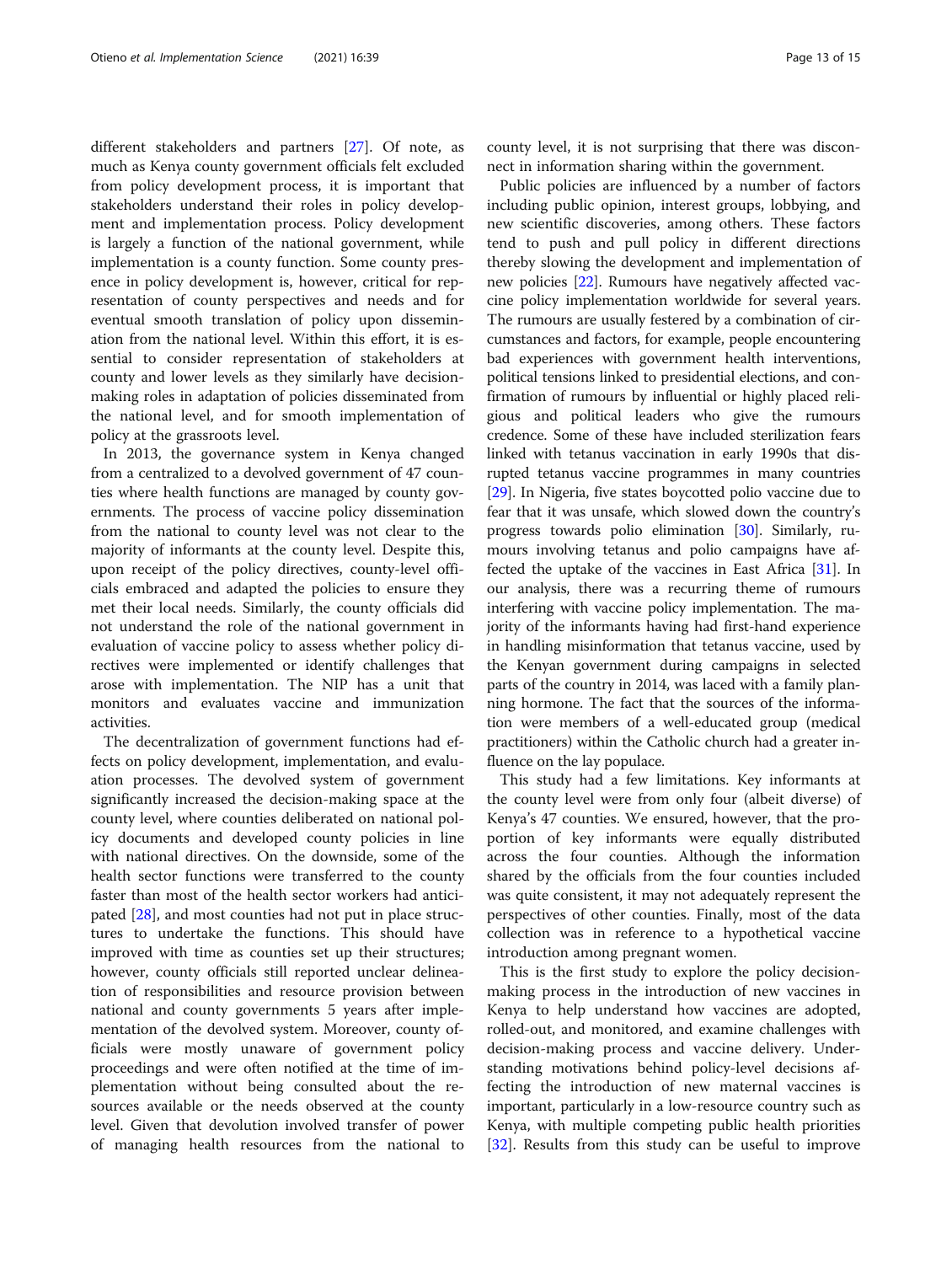different stakeholders and partners [\[27](#page-14-0)]. Of note, as much as Kenya county government officials felt excluded from policy development process, it is important that stakeholders understand their roles in policy development and implementation process. Policy development is largely a function of the national government, while implementation is a county function. Some county presence in policy development is, however, critical for representation of county perspectives and needs and for eventual smooth translation of policy upon dissemination from the national level. Within this effort, it is essential to consider representation of stakeholders at county and lower levels as they similarly have decisionmaking roles in adaptation of policies disseminated from the national level, and for smooth implementation of policy at the grassroots level.

In 2013, the governance system in Kenya changed from a centralized to a devolved government of 47 counties where health functions are managed by county governments. The process of vaccine policy dissemination from the national to county level was not clear to the majority of informants at the county level. Despite this, upon receipt of the policy directives, county-level officials embraced and adapted the policies to ensure they met their local needs. Similarly, the county officials did not understand the role of the national government in evaluation of vaccine policy to assess whether policy directives were implemented or identify challenges that arose with implementation. The NIP has a unit that monitors and evaluates vaccine and immunization activities.

The decentralization of government functions had effects on policy development, implementation, and evaluation processes. The devolved system of government significantly increased the decision-making space at the county level, where counties deliberated on national policy documents and developed county policies in line with national directives. On the downside, some of the health sector functions were transferred to the county faster than most of the health sector workers had anticipated [\[28\]](#page-14-0), and most counties had not put in place structures to undertake the functions. This should have improved with time as counties set up their structures; however, county officials still reported unclear delineation of responsibilities and resource provision between national and county governments 5 years after implementation of the devolved system. Moreover, county officials were mostly unaware of government policy proceedings and were often notified at the time of implementation without being consulted about the resources available or the needs observed at the county level. Given that devolution involved transfer of power of managing health resources from the national to county level, it is not surprising that there was disconnect in information sharing within the government.

Public policies are influenced by a number of factors including public opinion, interest groups, lobbying, and new scientific discoveries, among others. These factors tend to push and pull policy in different directions thereby slowing the development and implementation of new policies [\[22\]](#page-14-0). Rumours have negatively affected vaccine policy implementation worldwide for several years. The rumours are usually festered by a combination of circumstances and factors, for example, people encountering bad experiences with government health interventions, political tensions linked to presidential elections, and confirmation of rumours by influential or highly placed religious and political leaders who give the rumours credence. Some of these have included sterilization fears linked with tetanus vaccination in early 1990s that disrupted tetanus vaccine programmes in many countries [[29](#page-14-0)]. In Nigeria, five states boycotted polio vaccine due to fear that it was unsafe, which slowed down the country's progress towards polio elimination [\[30\]](#page-14-0). Similarly, rumours involving tetanus and polio campaigns have affected the uptake of the vaccines in East Africa [\[31\]](#page-14-0). In our analysis, there was a recurring theme of rumours interfering with vaccine policy implementation. The majority of the informants having had first-hand experience in handling misinformation that tetanus vaccine, used by the Kenyan government during campaigns in selected parts of the country in 2014, was laced with a family planning hormone. The fact that the sources of the information were members of a well-educated group (medical practitioners) within the Catholic church had a greater influence on the lay populace.

This study had a few limitations. Key informants at the county level were from only four (albeit diverse) of Kenya's 47 counties. We ensured, however, that the proportion of key informants were equally distributed across the four counties. Although the information shared by the officials from the four counties included was quite consistent, it may not adequately represent the perspectives of other counties. Finally, most of the data collection was in reference to a hypothetical vaccine introduction among pregnant women.

This is the first study to explore the policy decisionmaking process in the introduction of new vaccines in Kenya to help understand how vaccines are adopted, rolled-out, and monitored, and examine challenges with decision-making process and vaccine delivery. Understanding motivations behind policy-level decisions affecting the introduction of new maternal vaccines is important, particularly in a low-resource country such as Kenya, with multiple competing public health priorities [[32\]](#page-14-0). Results from this study can be useful to improve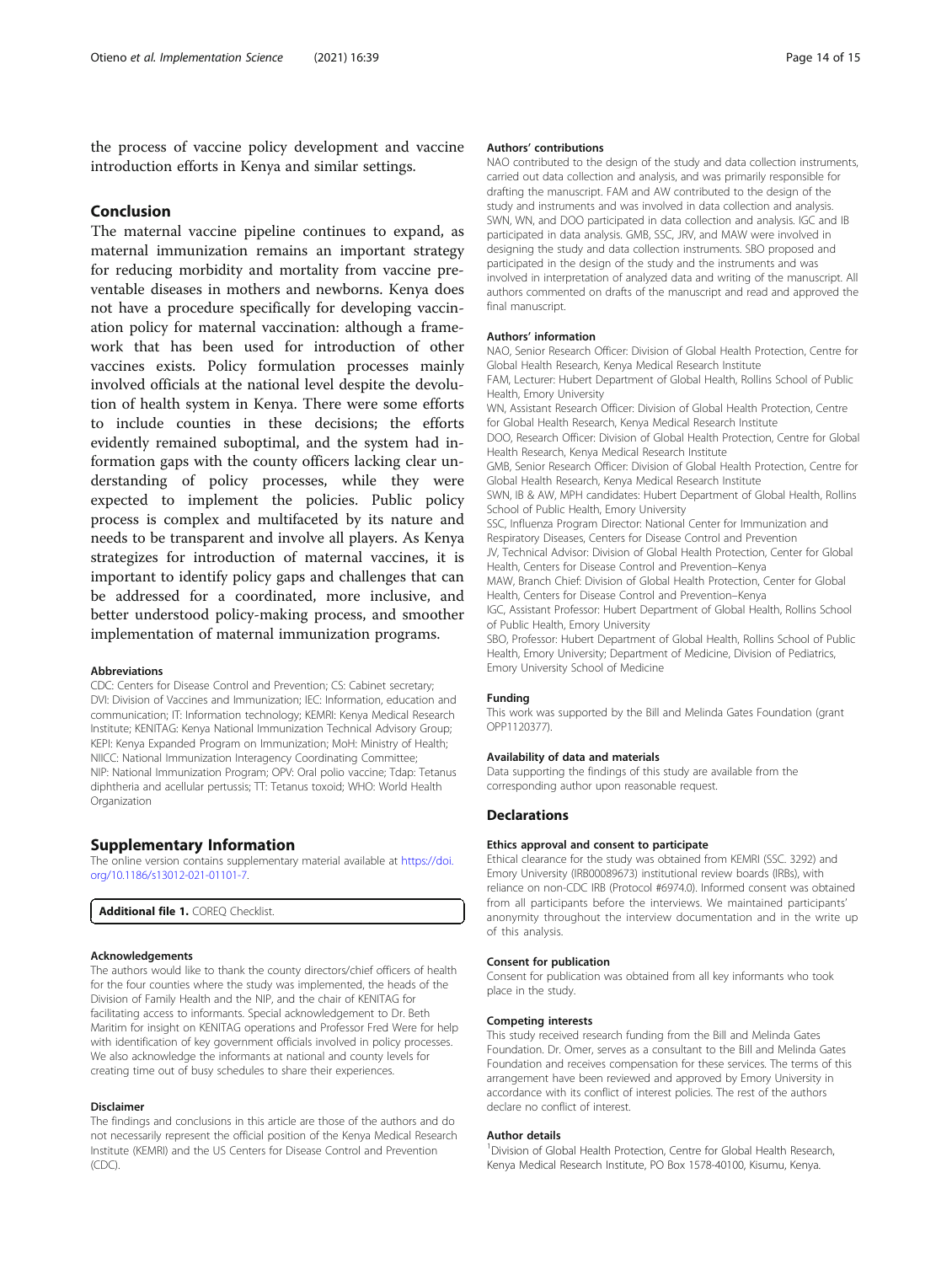the process of vaccine policy development and vaccine introduction efforts in Kenya and similar settings.

# Conclusion

The maternal vaccine pipeline continues to expand, as maternal immunization remains an important strategy for reducing morbidity and mortality from vaccine preventable diseases in mothers and newborns. Kenya does not have a procedure specifically for developing vaccination policy for maternal vaccination: although a framework that has been used for introduction of other vaccines exists. Policy formulation processes mainly involved officials at the national level despite the devolution of health system in Kenya. There were some efforts to include counties in these decisions; the efforts evidently remained suboptimal, and the system had information gaps with the county officers lacking clear understanding of policy processes, while they were expected to implement the policies. Public policy process is complex and multifaceted by its nature and needs to be transparent and involve all players. As Kenya strategizes for introduction of maternal vaccines, it is important to identify policy gaps and challenges that can be addressed for a coordinated, more inclusive, and better understood policy-making process, and smoother implementation of maternal immunization programs.

#### Abbreviations

CDC: Centers for Disease Control and Prevention; CS: Cabinet secretary; DVI: Division of Vaccines and Immunization; IEC: Information, education and communication; IT: Information technology; KEMRI: Kenya Medical Research Institute; KENITAG: Kenya National Immunization Technical Advisory Group; KEPI: Kenya Expanded Program on Immunization; MoH: Ministry of Health; NIICC: National Immunization Interagency Coordinating Committee; NIP: National Immunization Program; OPV: Oral polio vaccine; Tdap: Tetanus diphtheria and acellular pertussis; TT: Tetanus toxoid; WHO: World Health **Organization** 

#### Supplementary Information

The online version contains supplementary material available at [https://doi.](https://doi.org/10.1186/s13012-021-01101-7) [org/10.1186/s13012-021-01101-7.](https://doi.org/10.1186/s13012-021-01101-7)

Additional file 1. COREO Checklist.

#### Acknowledgements

The authors would like to thank the county directors/chief officers of health for the four counties where the study was implemented, the heads of the Division of Family Health and the NIP, and the chair of KENITAG for facilitating access to informants. Special acknowledgement to Dr. Beth Maritim for insight on KENITAG operations and Professor Fred Were for help with identification of key government officials involved in policy processes. We also acknowledge the informants at national and county levels for creating time out of busy schedules to share their experiences.

#### Disclaimer

The findings and conclusions in this article are those of the authors and do not necessarily represent the official position of the Kenya Medical Research Institute (KEMRI) and the US Centers for Disease Control and Prevention (CDC).

#### Authors' contributions

NAO contributed to the design of the study and data collection instruments, carried out data collection and analysis, and was primarily responsible for drafting the manuscript. FAM and AW contributed to the design of the study and instruments and was involved in data collection and analysis. SWN, WN, and DOO participated in data collection and analysis. IGC and IB participated in data analysis. GMB, SSC, JRV, and MAW were involved in designing the study and data collection instruments. SBO proposed and participated in the design of the study and the instruments and was involved in interpretation of analyzed data and writing of the manuscript. All authors commented on drafts of the manuscript and read and approved the final manuscript.

#### Authors' information

NAO, Senior Research Officer: Division of Global Health Protection, Centre for Global Health Research, Kenya Medical Research Institute FAM, Lecturer: Hubert Department of Global Health, Rollins School of Public Health, Emory University WN, Assistant Research Officer: Division of Global Health Protection, Centre for Global Health Research, Kenya Medical Research Institute DOO, Research Officer: Division of Global Health Protection, Centre for Global Health Research, Kenya Medical Research Institute GMB, Senior Research Officer: Division of Global Health Protection, Centre for Global Health Research, Kenya Medical Research Institute SWN, IB & AW, MPH candidates: Hubert Department of Global Health, Rollins School of Public Health, Emory University SSC, Influenza Program Director: National Center for Immunization and Respiratory Diseases, Centers for Disease Control and Prevention JV, Technical Advisor: Division of Global Health Protection, Center for Global Health, Centers for Disease Control and Prevention–Kenya MAW, Branch Chief: Division of Global Health Protection, Center for Global Health, Centers for Disease Control and Prevention–Kenya IGC, Assistant Professor: Hubert Department of Global Health, Rollins School of Public Health, Emory University SBO, Professor: Hubert Department of Global Health, Rollins School of Public Health, Emory University; Department of Medicine, Division of Pediatrics,

#### Funding

This work was supported by the Bill and Melinda Gates Foundation (grant OPP1120377).

#### Availability of data and materials

Emory University School of Medicine

Data supporting the findings of this study are available from the corresponding author upon reasonable request.

#### **Declarations**

#### Ethics approval and consent to participate

Ethical clearance for the study was obtained from KEMRI (SSC. 3292) and Emory University (IRB00089673) institutional review boards (IRBs), with reliance on non-CDC IRB (Protocol #6974.0). Informed consent was obtained from all participants before the interviews. We maintained participants' anonymity throughout the interview documentation and in the write up of this analysis.

#### Consent for publication

Consent for publication was obtained from all key informants who took place in the study.

#### Competing interests

This study received research funding from the Bill and Melinda Gates Foundation. Dr. Omer, serves as a consultant to the Bill and Melinda Gates Foundation and receives compensation for these services. The terms of this arrangement have been reviewed and approved by Emory University in accordance with its conflict of interest policies. The rest of the authors declare no conflict of interest.

#### Author details

<sup>1</sup> Division of Global Health Protection, Centre for Global Health Research Kenya Medical Research Institute, PO Box 1578-40100, Kisumu, Kenya.